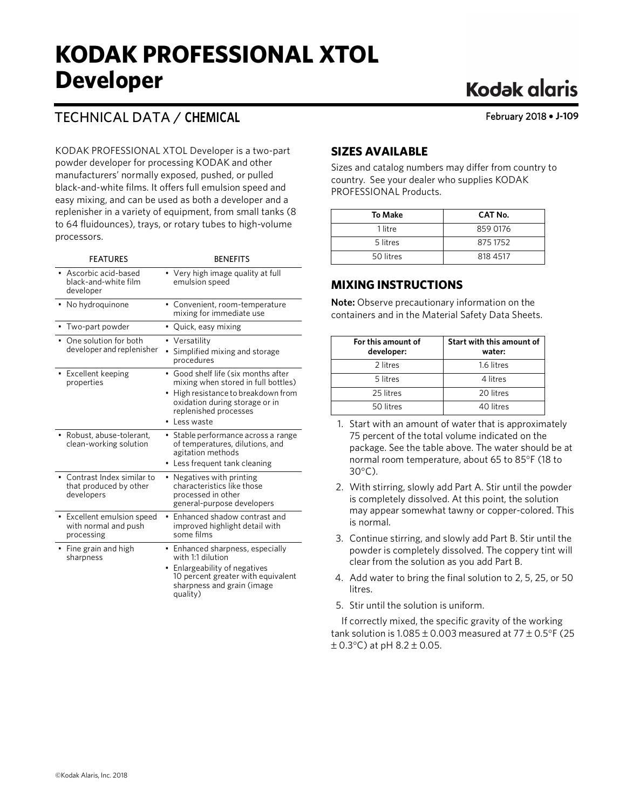## **KODAK PROFESSIONAL XTOL Developer**

### TECHNICAL DATA / **CHEMICAL**

KODAK PROFESSIONAL XTOL Developer is a two-part powder developer for processing KODAK and other manufacturers' normally exposed, pushed, or pulled black-and-white films. It offers full emulsion speed and easy mixing, and can be used as both a developer and a replenisher in a variety of equipment, from small tanks (8 to 64 fluidounces), trays, or rotary tubes to high-volume processors.

| <b>FEATURES</b>                                                   | <b>BENEFITS</b>                                                                                                                                                                                     |
|-------------------------------------------------------------------|-----------------------------------------------------------------------------------------------------------------------------------------------------------------------------------------------------|
| Ascorbic acid-based<br>black-and-white film<br>developer          | • Very high image quality at full<br>emulsion speed                                                                                                                                                 |
| No hydroguinone                                                   | Convenient, room-temperature<br>mixing for immediate use                                                                                                                                            |
| Two-part powder                                                   | Quick, easy mixing<br>$\bullet$                                                                                                                                                                     |
| One solution for both<br>developer and replenisher                | Versatility<br>Simplified mixing and storage<br>procedures                                                                                                                                          |
| Excellent keeping<br>properties                                   | Good shelf life (six months after<br>$\bullet$<br>mixing when stored in full bottles)<br>High resistance to breakdown from<br>oxidation during storage or in<br>replenished processes<br>Less waste |
| Robust, abuse-tolerant,<br>clean-working solution                 | Stable performance across a range<br>of temperatures, dilutions, and<br>agitation methods<br>Less frequent tank cleaning                                                                            |
| Contrast Index similar to<br>that produced by other<br>developers | Negatives with printing<br>characteristics like those<br>processed in other<br>general-purpose developers                                                                                           |
| Excellent emulsion speed<br>with normal and push<br>processing    | Enhanced shadow contrast and<br>improved highlight detail with<br>some films                                                                                                                        |
| Fine grain and high<br>sharpness                                  | • Enhanced sharpness, especially<br>with 1:1 dilution<br>Enlargeability of negatives<br>10 percent greater with equivalent<br>sharpness and grain (image<br>quality)                                |

## **Kodak glaris**

February 2018 • **J-109**

#### **SIZES AVAILABLE**

Sizes and catalog numbers may differ from country to country. See your dealer who supplies KODAK PROFESSIONAL Products.

| <b>To Make</b> | CAT No.  |
|----------------|----------|
| 1 litre        | 859 0176 |
| 5 litres       | 8751752  |
| 50 litres      | 818 4517 |

#### **MIXING INSTRUCTIONS**

**Note:** Observe precautionary information on the containers and in the Material Safety Data Sheets.

| For this amount of<br>developer: | Start with this amount of<br>water: |
|----------------------------------|-------------------------------------|
| 2 litres                         | 1.6 litres                          |
| 5 litres                         | 4 litres                            |
| 25 litres                        | 20 litres                           |
| 50 litres                        | 40 litres                           |

- 1. Start with an amount of water that is approximately 75 percent of the total volume indicated on the package. See the table above. The water should be at normal room temperature, about 65 to 85°F (18 to 30°C).
- 2. With stirring, slowly add Part A. Stir until the powder is completely dissolved. At this point, the solution may appear somewhat tawny or copper-colored. This is normal.
- 3. Continue stirring, and slowly add Part B. Stir until the powder is completely dissolved. The coppery tint will clear from the solution as you add Part B.
- 4. Add water to bring the final solution to 2, 5, 25, or 50 litres.
- 5. Stir until the solution is uniform.

If correctly mixed, the specific gravity of the working tank solution is  $1.085 \pm 0.003$  measured at  $77 \pm 0.5$ °F (25  $\pm$  0.3 $^{\circ}$ C) at pH 8.2  $\pm$  0.05.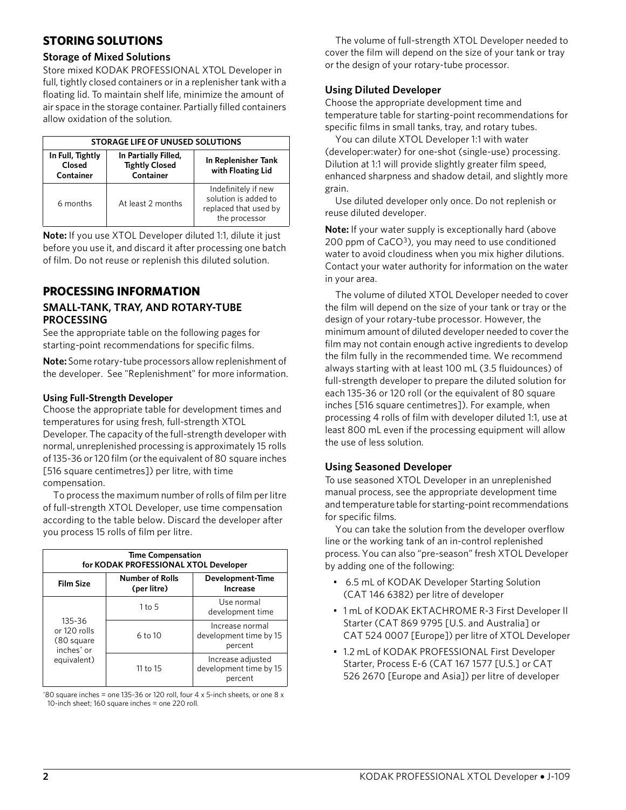#### **STORING SOLUTIONS**

#### **Storage of Mixed Solutions**

Store mixed KODAK PROFESSIONAL XTOL Developer in full, tightly closed containers or in a replenisher tank with a floating lid. To maintain shelf life, minimize the amount of air space in the storage container. Partially filled containers allow oxidation of the solution.

|                                         | <b>STORAGE LIFE OF UNUSED SOLUTIONS</b>                    |                                                                                       |  |  |  |  |  |  |  |  |  |  |  |
|-----------------------------------------|------------------------------------------------------------|---------------------------------------------------------------------------------------|--|--|--|--|--|--|--|--|--|--|--|
| In Full, Tightly<br>Closed<br>Container | In Partially Filled,<br><b>Tightly Closed</b><br>Container | In Replenisher Tank<br>with Floating Lid                                              |  |  |  |  |  |  |  |  |  |  |  |
| 6 months                                | At least 2 months                                          | Indefinitely if new<br>solution is added to<br>replaced that used by<br>the processor |  |  |  |  |  |  |  |  |  |  |  |

**Note:** If you use XTOL Developer diluted 1:1, dilute it just before you use it, and discard it after processing one batch of film. Do not reuse or replenish this diluted solution.

#### **PROCESSING INFORMATION SMALL-TANK, TRAY, AND ROTARY-TUBE PROCESSING**

See the appropriate table on the following pages for starting-point recommendations for specific films.

**Note:** Some rotary-tube processors allow replenishment of the developer. See "Replenishment" for more information.

#### **Using Full-Strength Developer**

Choose the appropriate table for development times and temperatures for using fresh, full-strength XTOL Developer. The capacity of the full-strength developer with normal, unreplenished processing is approximately 15 rolls of 135-36 or 120 film (or the equivalent of 80 square inches [516 square centimetres]) per litre, with time compensation.

To process the maximum number of rolls of film per litre of full-strength XTOL Developer, use time compensation according to the table below. Discard the developer after you process 15 rolls of film per litre.

|                                                                | <b>Time Compensation</b><br>for KODAK PROFESSIONAL XTOL Developer |                                                        |  |  |  |  |  |  |  |  |  |  |  |
|----------------------------------------------------------------|-------------------------------------------------------------------|--------------------------------------------------------|--|--|--|--|--|--|--|--|--|--|--|
| <b>Film Size</b>                                               | <b>Number of Rolls</b><br>(per litre)                             | Development-Time<br>Increase                           |  |  |  |  |  |  |  |  |  |  |  |
|                                                                | $1$ to $5$                                                        | Use normal<br>development time                         |  |  |  |  |  |  |  |  |  |  |  |
| 135-36<br>or 120 rolls<br>(80 square<br>inches <sup>*</sup> or | 6 to 10                                                           | Increase normal<br>development time by 15<br>percent   |  |  |  |  |  |  |  |  |  |  |  |
| equivalent)                                                    | 11 to 15                                                          | Increase adjusted<br>development time by 15<br>percent |  |  |  |  |  |  |  |  |  |  |  |

 $*80$  square inches = one 135-36 or 120 roll, four 4 x 5-inch sheets, or one 8 x 10-inch sheet; 160 square inches = one 220 roll.

The volume of full-strength XTOL Developer needed to cover the film will depend on the size of your tank or tray or the design of your rotary-tube processor.

#### **Using Diluted Developer**

Choose the appropriate development time and temperature table for starting-point recommendations for specific films in small tanks, tray, and rotary tubes.

You can dilute XTOL Developer 1:1 with water (developer:water) for one-shot (single-use) processing. Dilution at 1:1 will provide slightly greater film speed, enhanced sharpness and shadow detail, and slightly more grain.

Use diluted developer only once. Do not replenish or reuse diluted developer.

**Note:** If your water supply is exceptionally hard (above 200 ppm of CaCO<sup>3</sup>), you may need to use conditioned water to avoid cloudiness when you mix higher dilutions. Contact your water authority for information on the water in your area.

The volume of diluted XTOL Developer needed to cover the film will depend on the size of your tank or tray or the design of your rotary-tube processor. However, the minimum amount of diluted developer needed to cover the film may not contain enough active ingredients to develop the film fully in the recommended time. We recommend always starting with at least 100 mL (3.5 fluidounces) of full-strength developer to prepare the diluted solution for each 135-36 or 120 roll (or the equivalent of 80 square inches [516 square centimetres]). For example, when processing 4 rolls of film with developer diluted 1:1, use at least 800 mL even if the processing equipment will allow the use of less solution.

#### **Using Seasoned Developer**

To use seasoned XTOL Developer in an unreplenished manual process, see the appropriate development time and temperature table for starting-point recommendations for specific films.

You can take the solution from the developer overflow line or the working tank of an in-control replenished process. You can also "pre-season" fresh XTOL Developer by adding one of the following:

- 6.5 mL of KODAK Developer Starting Solution (CAT 146 6382) per litre of developer
- 1 mL of KODAK EKTACHROME R-3 First Developer II Starter (CAT 869 9795 [U.S. and Australia] or CAT 524 0007 [Europe]) per litre of XTOL Developer
- 1.2 mL of KODAK PROFESSIONAL First Developer Starter, Process E-6 (CAT 167 1577 [U.S.] or CAT 526 2670 [Europe and Asia]) per litre of developer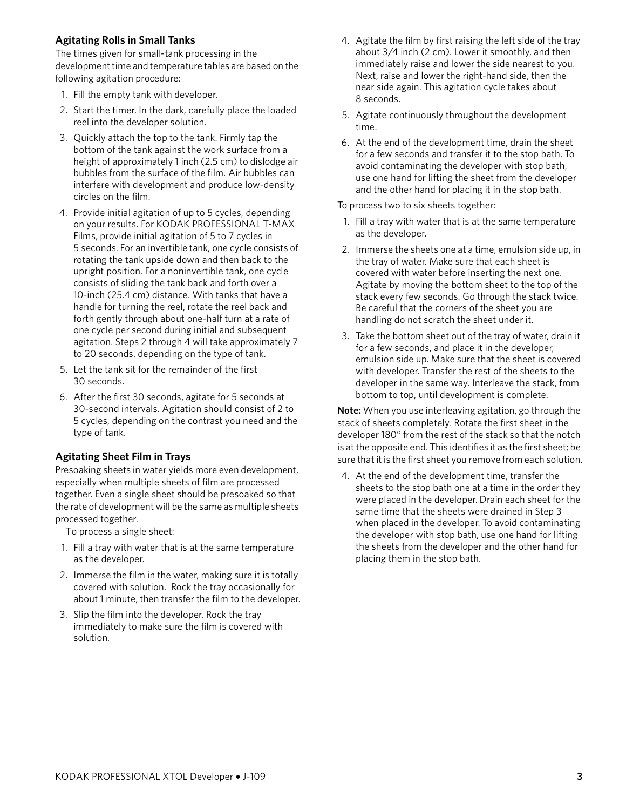#### **Agitating Rolls in Small Tanks**

The times given for small-tank processing in the development time and temperature tables are based on the following agitation procedure:

- 1. Fill the empty tank with developer.
- 2. Start the timer. In the dark, carefully place the loaded reel into the developer solution.
- 3. Quickly attach the top to the tank. Firmly tap the bottom of the tank against the work surface from a height of approximately 1 inch (2.5 cm) to dislodge air bubbles from the surface of the film. Air bubbles can interfere with development and produce low-density circles on the film.
- 4. Provide initial agitation of up to 5 cycles, depending on your results. For KODAK PROFESSIONAL T-MAX Films, provide initial agitation of 5 to 7 cycles in 5 seconds. For an invertible tank, one cycle consists of rotating the tank upside down and then back to the upright position. For a noninvertible tank, one cycle consists of sliding the tank back and forth over a 10-inch (25.4 cm) distance. With tanks that have a handle for turning the reel, rotate the reel back and forth gently through about one-half turn at a rate of one cycle per second during initial and subsequent agitation. Steps 2 through 4 will take approximately 7 to 20 seconds, depending on the type of tank.
- 5. Let the tank sit for the remainder of the first 30 seconds.
- 6. After the first 30 seconds, agitate for 5 seconds at 30-second intervals. Agitation should consist of 2 to 5 cycles, depending on the contrast you need and the type of tank.

#### **Agitating Sheet Film in Trays**

Presoaking sheets in water yields more even development, especially when multiple sheets of film are processed together. Even a single sheet should be presoaked so that the rate of development will be the same as multiple sheets processed together.

To process a single sheet:

- 1. Fill a tray with water that is at the same temperature as the developer.
- 2. Immerse the film in the water, making sure it is totally covered with solution. Rock the tray occasionally for about 1 minute, then transfer the film to the developer.
- 3. Slip the film into the developer. Rock the tray immediately to make sure the film is covered with solution.
- 4. Agitate the film by first raising the left side of the tray about 3/4 inch (2 cm). Lower it smoothly, and then immediately raise and lower the side nearest to you. Next, raise and lower the right-hand side, then the near side again. This agitation cycle takes about 8 seconds.
- 5. Agitate continuously throughout the development time.
- 6. At the end of the development time, drain the sheet for a few seconds and transfer it to the stop bath. To avoid contaminating the developer with stop bath, use one hand for lifting the sheet from the developer and the other hand for placing it in the stop bath.

To process two to six sheets together:

- 1. Fill a tray with water that is at the same temperature as the developer.
- 2. Immerse the sheets one at a time, emulsion side up, in the tray of water. Make sure that each sheet is covered with water before inserting the next one. Agitate by moving the bottom sheet to the top of the stack every few seconds. Go through the stack twice. Be careful that the corners of the sheet you are handling do not scratch the sheet under it.
- 3. Take the bottom sheet out of the tray of water, drain it for a few seconds, and place it in the developer, emulsion side up. Make sure that the sheet is covered with developer. Transfer the rest of the sheets to the developer in the same way. Interleave the stack, from bottom to top, until development is complete.

**Note:** When you use interleaving agitation, go through the stack of sheets completely. Rotate the first sheet in the developer 180° from the rest of the stack so that the notch is at the opposite end. This identifies it as the first sheet; be sure that it is the first sheet you remove from each solution.

4. At the end of the development time, transfer the sheets to the stop bath one at a time in the order they were placed in the developer. Drain each sheet for the same time that the sheets were drained in Step 3 when placed in the developer. To avoid contaminating the developer with stop bath, use one hand for lifting the sheets from the developer and the other hand for placing them in the stop bath.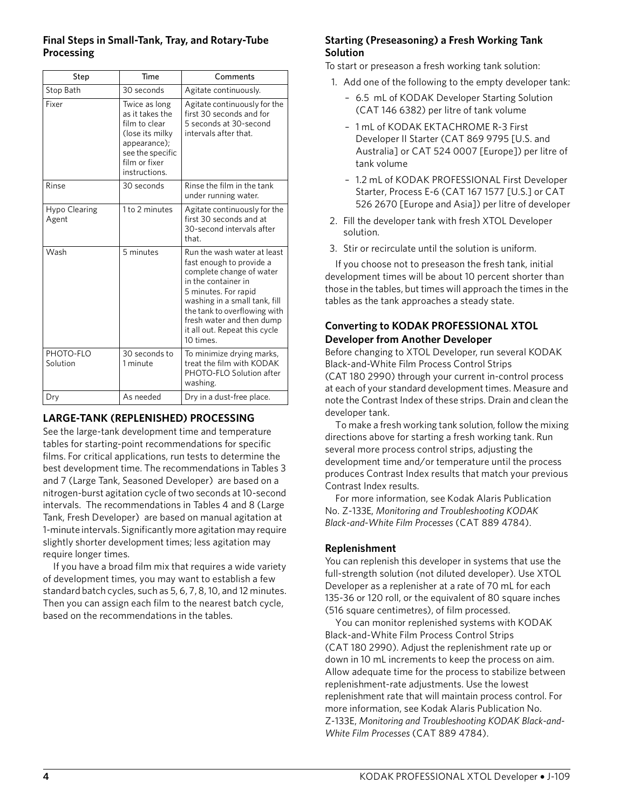#### **Final Steps in Small-Tank, Tray, and Rotary-Tube Processing**

| Step                   | Time                                                                                                                                       | Comments                                                                                                                                                                                                                                                                       |  |  |  |  |  |
|------------------------|--------------------------------------------------------------------------------------------------------------------------------------------|--------------------------------------------------------------------------------------------------------------------------------------------------------------------------------------------------------------------------------------------------------------------------------|--|--|--|--|--|
| Stop Bath              | 30 seconds                                                                                                                                 | Agitate continuously.                                                                                                                                                                                                                                                          |  |  |  |  |  |
| Fixer                  | Twice as long<br>as it takes the<br>film to clear<br>(lose its milky<br>appearance);<br>see the specific<br>film or fixer<br>instructions. | Agitate continuously for the<br>first 30 seconds and for<br>5 seconds at 30-second<br>intervals after that.                                                                                                                                                                    |  |  |  |  |  |
| Rinse                  | 30 seconds                                                                                                                                 | Rinse the film in the tank<br>under running water.                                                                                                                                                                                                                             |  |  |  |  |  |
| Hypo Clearing<br>Agent | 1 to 2 minutes                                                                                                                             | Agitate continuously for the<br>first 30 seconds and at<br>30-second intervals after<br>that.                                                                                                                                                                                  |  |  |  |  |  |
| Wash                   | 5 minutes                                                                                                                                  | Run the wash water at least<br>fast enough to provide a<br>complete change of water<br>in the container in<br>5 minutes. For rapid<br>washing in a small tank, fill<br>the tank to overflowing with<br>fresh water and then dump<br>it all out. Repeat this cycle<br>10 times. |  |  |  |  |  |
| PHOTO-FLO<br>Solution  | 30 seconds to<br>1 minute                                                                                                                  | To minimize drying marks,<br>treat the film with KODAK<br>PHOTO-FLO Solution after<br>washing.                                                                                                                                                                                 |  |  |  |  |  |
| Dry                    | As needed                                                                                                                                  | Dry in a dust-free place.                                                                                                                                                                                                                                                      |  |  |  |  |  |

#### **LARGE-TANK (REPLENISHED) PROCESSING**

See the large-tank development time and temperature tables for starting-point recommendations for specific films. For critical applications, run tests to determine the best development time. The recommendations in Tables 3 and 7 (Large Tank, Seasoned Developer) are based on a nitrogen-burst agitation cycle of two seconds at 10-second intervals. The recommendations in Tables 4 and 8 (Large Tank, Fresh Developer) are based on manual agitation at 1-minute intervals. Significantly more agitation may require slightly shorter development times; less agitation may require longer times.

If you have a broad film mix that requires a wide variety of development times, you may want to establish a few standard batch cycles, such as 5, 6, 7, 8, 10, and 12 minutes. Then you can assign each film to the nearest batch cycle, based on the recommendations in the tables.

#### **Starting (Preseasoning) a Fresh Working Tank Solution**

To start or preseason a fresh working tank solution:

- 1. Add one of the following to the empty developer tank:
	- 6.5 mL of KODAK Developer Starting Solution (CAT 146 6382) per litre of tank volume
	- 1 mL of KODAK EKTACHROME R-3 First Developer II Starter (CAT 869 9795 [U.S. and Australia] or CAT 524 0007 [Europe]) per litre of tank volume
	- 1.2 mL of KODAK PROFESSIONAL First Developer Starter, Process E-6 (CAT 167 1577 [U.S.] or CAT 526 2670 [Europe and Asia]) per litre of developer
- 2. Fill the developer tank with fresh XTOL Developer solution.
- 3. Stir or recirculate until the solution is uniform.

If you choose not to preseason the fresh tank, initial development times will be about 10 percent shorter than those in the tables, but times will approach the times in the tables as the tank approaches a steady state.

#### **Converting to KODAK PROFESSIONAL XTOL Developer from Another Developer**

Before changing to XTOL Developer, run several KODAK Black-and-White Film Process Control Strips (CAT 180 2990) through your current in-control process at each of your standard development times. Measure and note the Contrast Index of these strips. Drain and clean the developer tank.

To make a fresh working tank solution, follow the mixing directions above for starting a fresh working tank. Run several more process control strips, adjusting the development time and/or temperature until the process produces Contrast Index results that match your previous Contrast Index results.

For more information, see Kodak Alaris Publication No. Z-133E, *Monitoring and Troubleshooting KODAK Black-and-White Film Processes* (CAT 889 4784).

#### **Replenishment**

You can replenish this developer in systems that use the full-strength solution (not diluted developer). Use XTOL Developer as a replenisher at a rate of 70 mL for each 135-36 or 120 roll, or the equivalent of 80 square inches (516 square centimetres), of film processed.

You can monitor replenished systems with KODAK Black-and-White Film Process Control Strips (CAT 180 2990). Adjust the replenishment rate up or down in 10 mL increments to keep the process on aim. Allow adequate time for the process to stabilize between replenishment-rate adjustments. Use the lowest replenishment rate that will maintain process control. For more information, see Kodak Alaris Publication No. Z-133E, *Monitoring and Troubleshooting KODAK Black-and-White Film Processes* (CAT 889 4784).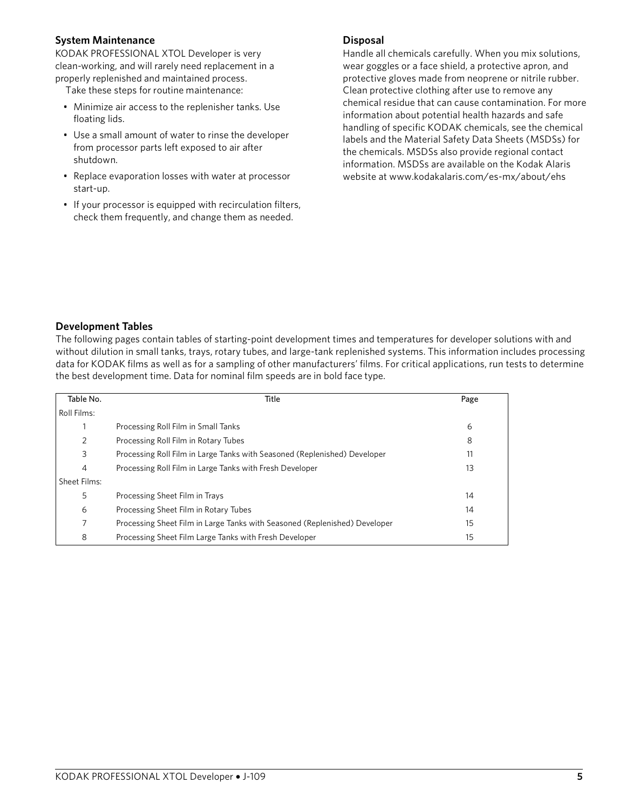#### **System Maintenance**

KODAK PROFESSIONAL XTOL Developer is very clean-working, and will rarely need replacement in a properly replenished and maintained process.

Take these steps for routine maintenance:

- Minimize air access to the replenisher tanks. Use floating lids.
- Use a small amount of water to rinse the developer from processor parts left exposed to air after shutdown.
- Replace evaporation losses with water at processor start-up.
- If your processor is equipped with recirculation filters, check them frequently, and change them as needed.

#### **Disposal**

Handle all chemicals carefully. When you mix solutions, wear goggles or a face shield, a protective apron, and protective gloves made from neoprene or nitrile rubber. Clean protective clothing after use to remove any chemical residue that can cause contamination. For more information about potential health hazards and safe handling of specific KODAK chemicals, see the chemical labels and the Material Safety Data Sheets (MSDSs) for the chemicals. MSDSs also provide regional contact information. MSDSs are available on the Kodak Alaris website at www.kodakalaris.com/es-mx/about/ehs

#### **Development Tables**

The following pages contain tables of starting-point development times and temperatures for developer solutions with and without dilution in small tanks, trays, rotary tubes, and large-tank replenished systems. This information includes processing data for KODAK films as well as for a sampling of other manufacturers' films. For critical applications, run tests to determine the best development time. Data for nominal film speeds are in bold face type.

| Table No.    | Title                                                                      | Page |
|--------------|----------------------------------------------------------------------------|------|
| Roll Films:  |                                                                            |      |
|              | Processing Roll Film in Small Tanks                                        | 6    |
| 2            | Processing Roll Film in Rotary Tubes                                       | 8    |
| 3            | Processing Roll Film in Large Tanks with Seasoned (Replenished) Developer  | 11   |
| 4            | Processing Roll Film in Large Tanks with Fresh Developer                   | 13   |
| Sheet Films: |                                                                            |      |
| 5            | Processing Sheet Film in Trays                                             | 14   |
| 6            | Processing Sheet Film in Rotary Tubes                                      | 14   |
|              | Processing Sheet Film in Large Tanks with Seasoned (Replenished) Developer | 15   |
| 8            | Processing Sheet Film Large Tanks with Fresh Developer                     | 15   |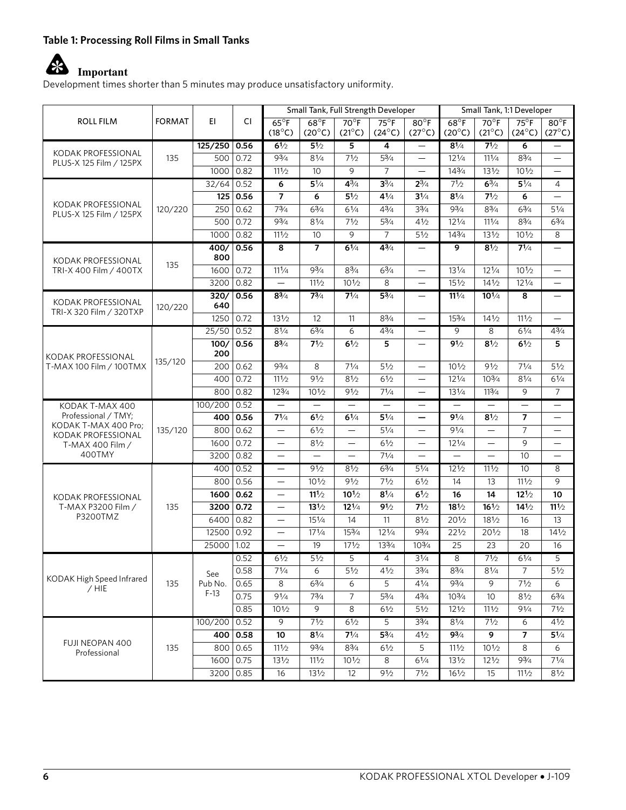#### **Table 1: Processing Roll Films in Small Tanks**

## **Important**

Development times shorter than 5 minutes may produce unsatisfactory uniformity.

|                                               |               |                |              |                                  |                                   |                                   | Small Tank, Full Strength Developer |                                   | Small Tank, 1:1 Developer         |                                   |                                   |                                   |
|-----------------------------------------------|---------------|----------------|--------------|----------------------------------|-----------------------------------|-----------------------------------|-------------------------------------|-----------------------------------|-----------------------------------|-----------------------------------|-----------------------------------|-----------------------------------|
| <b>ROLL FILM</b>                              | <b>FORMAT</b> | EI.            | СI           | $65^{\circ}F$<br>$(18^{\circ}C)$ | $68^{\circ}$ F<br>$(20^{\circ}C)$ | $70^{\circ}$ F<br>$(21^{\circ}C)$ | $75^\circ$ F<br>$(24^{\circ}C)$     | $80^{\circ}$ F<br>$(27^{\circ}C)$ | $68^{\circ}$ F<br>$(20^{\circ}C)$ | $70^{\circ}$ F<br>$(21^{\circ}C)$ | $75^{\circ}$ F<br>$(24^{\circ}C)$ | $80^{\circ}$ F<br>$(27^{\circ}C)$ |
|                                               |               | $125/250$ 0.56 |              | 61/2                             | 51/2                              | $\overline{\mathbf{5}}$           | $\overline{4}$                      | $\overline{\phantom{0}}$          | $8^{1/4}$                         | 71/2                              | 6                                 |                                   |
| KODAK PROFESSIONAL<br>PLUS-X 125 Film / 125PX | 135           | 500            | 0.72         | $9^{3}/4$                        | 81/4                              | 71/2                              | $5^{3}/_{4}$                        | $\overline{\phantom{0}}$          | $12\frac{1}{4}$                   | 111/4                             | $8\frac{3}{4}$                    | $\overline{\phantom{0}}$          |
|                                               |               | 1000           | 0.82         | 111/2                            | 10                                | 9                                 | $\overline{7}$                      |                                   | 143/4                             | $13\frac{1}{2}$                   | $10\frac{1}{2}$                   | $\overline{\phantom{0}}$          |
|                                               |               | 32/64          | $\vert$ 0.52 | 6                                | $5\frac{1}{4}$                    | $4^{3}/4$                         | $3^{3/4}$                           | $2^{3/4}$                         | 71/2                              | $6^{3}/4$                         | $5\frac{1}{4}$                    | 4                                 |
|                                               |               |                | 125 0.56     | $\overline{7}$                   | 6                                 | $5\frac{1}{2}$                    | $4\frac{1}{4}$                      | $3\frac{1}{4}$                    | $8^{1/4}$                         | 71/2                              | 6                                 | $\overline{\phantom{0}}$          |
| KODAK PROFESSIONAL<br>PLUS-X 125 Film / 125PX | 120/220       | 250            | 0.62         | 73/4                             | $6^{3}/4$                         | $6\frac{1}{4}$                    | $4^{3}/_{4}$                        | $3\frac{3}{4}$                    | 93/4                              | $8^{3}/_{4}$                      | $6\frac{3}{4}$                    | $5^{1/4}$                         |
|                                               |               | 500            | 0.72         | 93/4                             | 81/4                              | 71/2                              | $5^{3}/4$                           | 41/2                              | $12\frac{1}{4}$                   | 111/4                             | $8\frac{3}{4}$                    | $6^{3}/4$                         |
|                                               |               | 1000           | 0.82         | 111/2                            | 10 <sup>°</sup>                   | 9                                 | $\overline{7}$                      | 51/2                              | 143/4                             | 131/2                             | $10\frac{1}{2}$                   | 8                                 |
| KODAK PROFESSIONAL                            |               | 400/<br>800    | 0.56         | $\overline{\mathbf{8}}$          | $\overline{7}$                    | 61/4                              | 43/4                                | $\overline{\phantom{0}}$          | 9                                 | 81/2                              | 71/4                              |                                   |
| TRI-X 400 Film / 400TX                        | 135           | 1600           | 0.72         | 111/4                            | $9^{3}/4$                         | $8^{3}/4$                         | $6\frac{3}{4}$                      | $\overline{\phantom{0}}$          | $13\frac{1}{4}$                   | $12\frac{1}{4}$                   | $10\frac{1}{2}$                   | $\overline{\phantom{0}}$          |
|                                               |               | 3200           | 0.82         | $\equiv$                         | 111/2                             | $10^{1/2}$                        | 8                                   |                                   | $15\frac{1}{2}$                   | $14\frac{1}{2}$                   | $12^{1/4}$                        | $\overline{\phantom{0}}$          |
| KODAK PROFESSIONAL                            | 120/220       | 320/<br>640    | 0.56         | $8^{3}/4$                        | $7^{3}/_{4}$                      | $7^{1/4}$                         | $5^{3}/4$                           | $\qquad \qquad -$                 | $11^{1/4}$                        | $10^{1/4}$                        | 8                                 | $\overline{\phantom{m}}$          |
| TRI-X 320 Film / 320TXP                       |               | 1250           | 0.72         | 131/2                            | 12                                | 11                                | $8^{3}/_{4}$                        |                                   | 153/4                             | $14\frac{1}{2}$                   | 111/2                             | $\overline{\phantom{0}}$          |
|                                               |               | 25/50 0.52     |              | $8^{1/4}$                        | $6^{3}/4$                         | 6                                 | $4^{3}/_{4}$                        | $\qquad \qquad -$                 | 9                                 | 8                                 | 61/4                              | $4^{3}/4$                         |
| KODAK PROFESSIONAL                            | 135/120       | 100/<br>200    | 0.56         | $8^{3}/_{4}$                     | $7\frac{1}{2}$                    | 61/2                              | 5                                   | $\overline{\phantom{0}}$          | 91/2                              | 81/2                              | 61/2                              | 5                                 |
| T-MAX 100 Film / 100TMX                       |               | 200            | 0.62         | 93/4                             | 8                                 | 71/4                              | 51/2                                | $\overline{\phantom{0}}$          | $10\frac{1}{2}$                   | 91/2                              | 71/4                              | 51/2                              |
|                                               |               | 400            | 0.72         | 111/2                            | 91/2                              | 81/2                              | 61/2                                | $\overline{\phantom{0}}$          | $12\frac{1}{4}$                   | $10^{3}/4$                        | 81/4                              | $6\frac{1}{4}$                    |
|                                               |               | 800            | 0.82         | 123/4                            | $10\frac{1}{2}$                   | 91/2                              | 71/4                                |                                   | 131/4                             | 113/4                             | 9                                 | $\overline{7}$                    |
| KODAK T-MAX 400                               | 135/120       | 100/200        | 0.52         | $\overline{\phantom{m}}$         | $\qquad \qquad -$                 |                                   | $\qquad \qquad -$                   | —                                 |                                   | $\overline{\phantom{0}}$          | $\overline{\phantom{m}}$          | —                                 |
| Professional / TMY;                           |               | 400            | 0.56         | $7^{1/4}$                        | 61/2                              | 61/4                              | $5\frac{1}{4}$                      | -                                 | $9^{1/4}$                         | 81/2                              | 7                                 | $\overline{\phantom{0}}$          |
| KODAK T-MAX 400 Pro;<br>KODAK PROFESSIONAL    |               | 800            | 0.62         | $\overline{\phantom{0}}$         | 61/2                              | $\overline{\phantom{0}}$          | $5\frac{1}{4}$                      | $\overline{\phantom{0}}$          | 91/4                              | $\overline{\phantom{0}}$          | $\overline{7}$                    |                                   |
| T-MAX 400 Film /                              |               | 1600           | 0.72         |                                  | 81/2                              |                                   | 61/2                                | $\qquad \qquad -$                 | 121/4                             | $\overline{\phantom{0}}$          | 9                                 | —                                 |
| 400TMY                                        |               | 3200           | 0.82         | $\overline{\phantom{0}}$         | $\overline{\phantom{0}}$          |                                   | 71/4                                |                                   |                                   | $\equiv$                          | 10                                | $\overline{\phantom{0}}$          |
|                                               |               | 400            | 0.52         |                                  | 91/2                              | 81/2                              | 63/4                                | $5\frac{1}{4}$                    | $12\frac{1}{2}$                   | 111/2                             | 10                                | 8                                 |
|                                               |               | 800            | 0.56         |                                  | $10\frac{1}{2}$                   | 91/2                              | 71/2                                | 61/2                              | 14                                | 13                                | 111/2                             | 9                                 |
| KODAK PROFESSIONAL                            |               | 1600           | 0.62         | $\overline{\phantom{0}}$         | $11^{1/2}$                        | $10^{1/2}$                        | $8^{1/4}$                           | 61/2                              | 16                                | 14                                | $12^{1/2}$                        | 10                                |
| T-MAX P3200 Film /                            | 135           | 3200           | 0.72         |                                  | $13^{1/2}$                        | $12\frac{1}{4}$                   | 91/2                                | 71/2                              | $18\frac{1}{2}$                   | $16\frac{1}{2}$                   | $14\frac{1}{2}$                   | 111/2                             |
| P3200TMZ                                      |               | 6400           | 0.82         | $\qquad \qquad -$                | 151/4                             | 14                                | 11                                  | 81/2                              | 201/2                             | 181/2                             | 16                                | 13                                |
|                                               |               | 12500          | 0.92         |                                  | $17^{1/4}$                        | 153/4                             | $12\frac{1}{4}$                     | 93/4                              | 221/2                             | 20 <sup>1</sup> /2                | 18                                | $14\frac{1}{2}$                   |
|                                               |               | 25000          | 1.02         | $\overline{\phantom{0}}$         | 19                                | 171/2                             | 133/4                               | 103/4                             | 25                                | 23                                | 20                                | 16                                |
|                                               |               |                | 0.52         | 61/2                             | $5\frac{1}{2}$                    | 5                                 | 4                                   | $3\frac{1}{4}$                    | 8                                 | 71/2                              | $6\frac{1}{4}$                    | 5                                 |
| KODAK High Speed Infrared                     |               | See            | 0.58         | $7^{1/4}$                        | 6                                 | $5\frac{1}{2}$                    | 41/2                                | $3\frac{3}{4}$                    | $8^{3}/_{4}$                      | $8^{1/4}$                         | 7                                 | $5\frac{1}{2}$                    |
| $/$ HIE                                       | 135           | Pub No.        | 0.65         | 8                                | $6^{3}/4$                         | 6                                 | 5                                   | $4^{1/4}$                         | $9^{3}/4$                         | 9                                 | 71/2                              | 6                                 |
|                                               |               | $F-13$         | 0.75         | 91/4                             | 73/4                              | $\overline{7}$                    | 53/4                                | 43/4                              | $10^{3/4}$                        | 10                                | 81/2                              | 63/4                              |
|                                               |               |                | 0.85         | 101/2                            | $\overline{9}$                    | 8                                 | 61/2                                | 51/2                              | $12\frac{1}{2}$                   | 111/2                             | 91/4                              | 71/2                              |
|                                               |               | 100/200        | 0.52         | $\overline{9}$                   | 71/2                              | 61/2                              | $\overline{5}$                      | 33/4                              | $8^{1/4}$                         | 71/2                              | 6                                 | 41/2                              |
| FUJI NEOPAN 400                               |               | 400            | 0.58         | 10                               | $8\frac{1}{4}$                    | $7^{1/4}$                         | $5\frac{3}{4}$                      | 41/2                              | $9^{3}/_{4}$                      | 9                                 | 7                                 | $5^{1/4}$                         |
| Professional                                  | 135           |                | 800 0.65     | 111/2                            | 93/4                              | $8\frac{3}{4}$                    | 61/2                                | 5                                 | 111/2                             | $10\frac{1}{2}$                   | 8                                 | 6                                 |
|                                               |               | 1600           | 0.75         | 131/2                            | 111/2                             | $10^{1/2}$                        | 8                                   | 61/4                              | $13\frac{1}{2}$                   | $12\frac{1}{2}$                   | 93/4                              | $7^{1/4}$                         |
|                                               |               | 3200           | 0.85         | 16                               | 131/2                             | 12                                | 91/2                                | 71/2                              | 161/2                             | 15                                | 111/2                             | $8\frac{1}{2}$                    |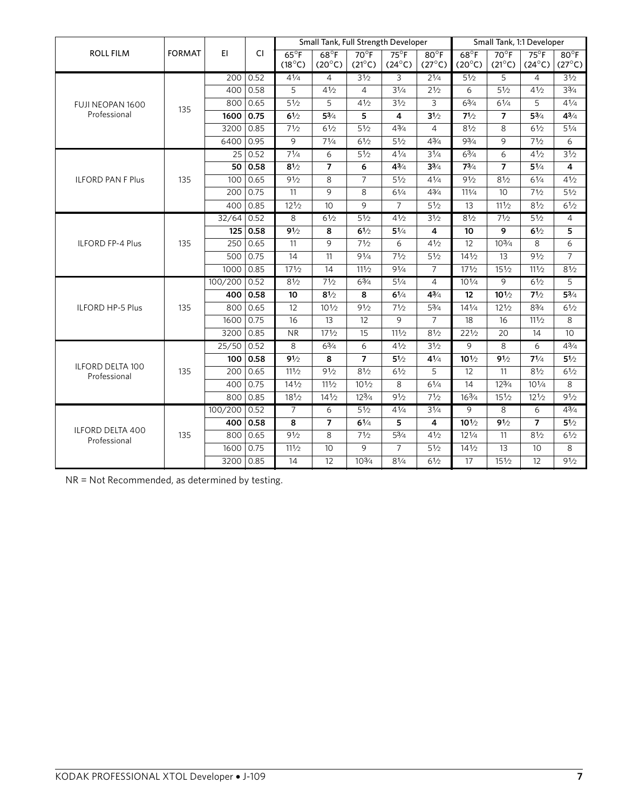|                                  |               |              |            |                                  | Small Tank, Full Strength Developer<br>Small Tank, 1:1 Developer |                                   |                                 |                                   |                                   |                                   |                                 |                                   |      |
|----------------------------------|---------------|--------------|------------|----------------------------------|------------------------------------------------------------------|-----------------------------------|---------------------------------|-----------------------------------|-----------------------------------|-----------------------------------|---------------------------------|-----------------------------------|------|
| <b>ROLL FILM</b>                 | <b>FORMAT</b> | EI.          | CI.        | $65^{\circ}F$<br>$(18^{\circ}C)$ | $68^{\circ}F$<br>$(20^{\circ}C)$                                 | $70^{\circ}$ F<br>$(21^{\circ}C)$ | $75^\circ$ F<br>$(24^{\circ}C)$ | $80^{\circ}$ F<br>$(27^{\circ}C)$ | $68^{\circ}$ F<br>$(20^{\circ}C)$ | $70^{\circ}$ F<br>$(21^{\circ}C)$ | $75^\circ$ F<br>$(24^{\circ}C)$ | $80^{\circ}$ F<br>$(27^{\circ}C)$ |      |
|                                  |               | 200          | 0.52       | 41/4                             | 4                                                                | $3\frac{1}{2}$                    | 3                               | $2\frac{1}{4}$                    | 51/2                              | 5                                 | 4                               | $3\frac{1}{2}$                    |      |
|                                  |               | 400          | 0.58       | 5                                | 41/2                                                             | $\overline{4}$                    | 31/4                            | 21/2                              | 6                                 | 51/2                              | 41/2                            | $3\frac{3}{4}$                    |      |
| FUJI NEOPAN 1600                 | 135           |              | 800 0.65   | 51/2                             | 5                                                                | 41/2                              | 31/2                            | 3                                 | $6^{3}/4$                         | $6^{1/4}$                         | 5                               | $4^{1/4}$                         |      |
| Professional                     |               | 1600         | 0.75       | 61/2                             | $5^{3}/4$                                                        | 5                                 | $\overline{4}$                  | 31/2                              | 71/2                              | $\overline{7}$                    | $5^{3}/4$                       | $4^{3}/_{4}$                      |      |
|                                  |               | 3200         | 0.85       | 71/2                             | 61/2                                                             | 51/2                              | $4^{3}/4$                       | $\overline{4}$                    | 81/2                              | 8                                 | 61/2                            | $5^{1/4}$                         |      |
|                                  |               | 6400         | 0.95       | 9                                | 71/4                                                             | 61/2                              | 51/2                            | $4^{3}/4$                         | 93/4                              | 9                                 | 71/2                            | 6                                 |      |
|                                  |               |              | 25 0.52    | $7^{1/4}$                        | 6                                                                | $5\frac{1}{2}$                    | $4^{1/4}$                       | $3\frac{1}{4}$                    | $6^{3}/4$                         | $\overline{6}$                    | 41/2                            | 31/2                              |      |
|                                  |               |              | 50 0.58    | 81/2                             | $\overline{7}$                                                   | 6                                 | $4^{3}/_{4}$                    | $3\frac{3}{4}$                    | $7^{3/4}$                         | $\overline{7}$                    | $5\frac{1}{4}$                  | 4                                 |      |
| <b>ILFORD PAN F Plus</b>         | 135           | 100          | 0.65       | 91/2                             | 8                                                                | $\overline{7}$                    | 51/2                            | 41/4                              | 91/2                              | 81/2                              | 61/4                            | 41/2                              |      |
|                                  |               | 200          | 0.75       | 11                               | 9                                                                | 8                                 | 61/4                            | 43/4                              | 111/4                             | 10                                | 71/2                            | 51/2                              |      |
|                                  |               | 400          | 0.85       | 121/2                            | 10                                                               | 9                                 | $\overline{7}$                  | $5\frac{1}{2}$                    | 13                                | 111/2                             | 81/2                            | 61/2                              |      |
|                                  |               | $32/64$ 0.52 |            | $\overline{8}$                   | 61/2                                                             | $5\frac{1}{2}$                    | 41/2                            | 31/2                              | 81/2                              | 71/2                              | 51/2                            | $\overline{4}$                    |      |
|                                  |               |              | 125 0.58   | 91/2                             | 8                                                                | 61/2                              | $5\frac{1}{4}$                  | $\overline{4}$                    | 10                                | 9                                 | 61/2                            | 5                                 |      |
| <b>ILFORD FP-4 Plus</b>          | 135           | 250          | 0.65       | 11                               | $\overline{9}$                                                   | 71/2                              | 6                               | 41/2                              | 12                                | $10^{3/4}$                        | 8                               | 6                                 |      |
|                                  |               | 500          | 0.75       | 14                               | 11                                                               | 91/4                              | 71/2                            | $5\frac{1}{2}$                    | $14\frac{1}{2}$                   | 13                                | 91/2                            | $\overline{7}$                    |      |
|                                  |               | 1000         | 0.85       | 171/2                            | 14                                                               | 111/2                             | 91/4                            | $\overline{7}$                    | 171/2                             | $15\frac{1}{2}$                   | 111/2                           | 81/2                              |      |
|                                  |               | 100/200      | 0.52       | 81/2                             | 71/2                                                             | 63/4                              | $5\frac{1}{4}$                  | $\overline{4}$                    | $10^{1/4}$                        | 9                                 | 61/2                            | 5                                 |      |
|                                  |               |              | 400 0.58   | 10                               | $8^{1/2}$                                                        | 8                                 | $6^{1/4}$                       | $4^{3}/_{4}$                      | 12                                | $10^{1/2}$                        | 71/2                            | $5^{3}/4$                         |      |
| <b>ILFORD HP-5 Plus</b>          | 135           | 800          | 0.65       | 12                               | $10^{1/2}$                                                       | 91/2                              | 71/2                            | $5\frac{3}{4}$                    | $14\frac{1}{4}$                   | $12\frac{1}{2}$                   | $8\frac{3}{4}$                  | 61/2                              |      |
|                                  |               | 1600         | 0.75       | 16                               | 13                                                               | 12                                | 9                               | $\overline{7}$                    | 18                                | 16                                | 111/2                           | 8                                 |      |
|                                  |               | 3200         | 0.85       | <b>NR</b>                        | 171/2                                                            | 15                                | 111/2                           | 81/2                              | 221/2                             | 20                                | 14                              | 10                                |      |
|                                  |               |              | 25/50      | 0.52                             | $\overline{8}$                                                   | 63/4                              | $\overline{6}$                  | 41/2                              | 31/2                              | $\overline{9}$                    | $\overline{8}$                  | 6                                 | 43/4 |
|                                  |               |              | 100   0.58 | 91/2                             | 8                                                                | $\overline{7}$                    | 51/2                            | $4^{1/4}$                         | $10^{1/2}$                        | 91/2                              | $7^{1/4}$                       | $5\frac{1}{2}$                    |      |
| ILFORD DELTA 100<br>Professional | 135           | 200          | 0.65       | 111/2                            | 91/2                                                             | 81/2                              | 61/2                            | 5                                 | 12                                | 11                                | 81/2                            | 61/2                              |      |
|                                  |               | 400          | 0.75       | 141/2                            | 111/2                                                            | $10\frac{1}{2}$                   | 8                               | 61/4                              | 14                                | 123/4                             | $10^{1/4}$                      | 8                                 |      |
|                                  |               | 800          | 0.85       | 181/2                            | 141/2                                                            | 123/4                             | 91/2                            | 71/2                              | 163/4                             | 151/2                             | 121/2                           | 91/2                              |      |
|                                  |               | 100/200      | 0.52       | $\overline{7}$                   | 6                                                                | $5\frac{1}{2}$                    | $4\frac{1}{4}$                  | $3\frac{1}{4}$                    | $\overline{9}$                    | $\overline{8}$                    | 6                               | $4^{3}/_{4}$                      |      |
|                                  |               |              | 400 0.58   | 8                                | $\overline{7}$                                                   | 61/4                              | 5                               | $\overline{\mathbf{4}}$           | $10^{1/2}$                        | 91/2                              | $\overline{7}$                  | $5\frac{1}{2}$                    |      |
| ILFORD DELTA 400<br>Professional | 135           | 800          | 0.65       | 91/2                             | 8                                                                | 71/2                              | $5^{3}/4$                       | 41/2                              | $12\frac{1}{4}$                   | 11                                | 81/2                            | 61/2                              |      |
|                                  |               | 1600         | 0.75       | 111/2                            | 10 <sup>°</sup>                                                  | $\mathsf{Q}$                      | $\overline{7}$                  | $5\frac{1}{2}$                    | $14\frac{1}{2}$                   | 13                                | 10                              | 8                                 |      |
|                                  |               | 3200 0.85    |            | 14                               | 12                                                               | 103/4                             | $8^{1/4}$                       | 61/2                              | 17                                | $15\frac{1}{2}$                   | 12                              | 91/2                              |      |

NR = Not Recommended, as determined by testing.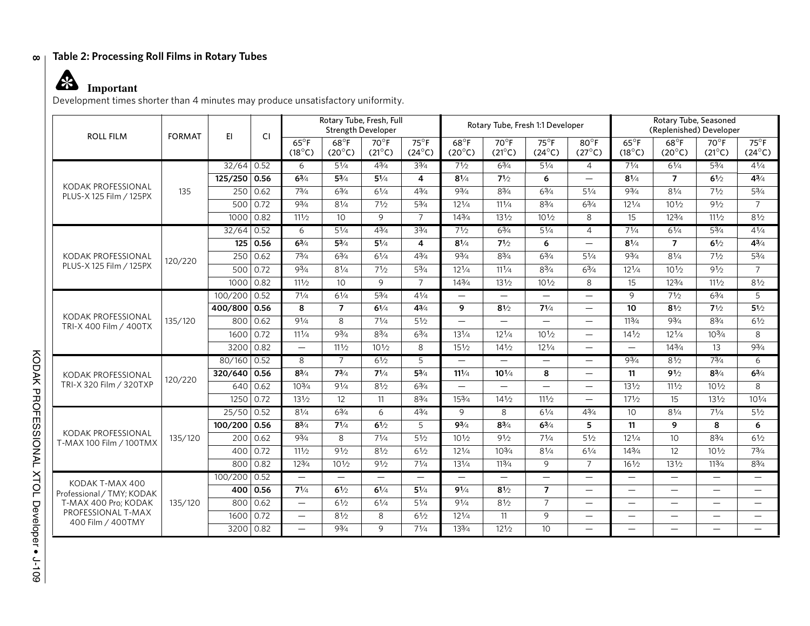#### **Table 2: Processing Roll Films in Rotary Tubes**

### **Important**

Development times shorter than 4 minutes may produce unsatisfactory uniformity.

| <b>ROLL FILM</b>                              | <b>FORMAT</b> | E1           | <b>CI</b>    | Rotary Tube, Fresh, Full<br><b>Strength Developer</b> |                                  |                                   | Rotary Tube, Fresh 1:1 Developer |                                   |                                   |                                 | Rotary Tube, Seasoned<br>(Replenished) Developer |                                   |                                   |                                   |                                  |
|-----------------------------------------------|---------------|--------------|--------------|-------------------------------------------------------|----------------------------------|-----------------------------------|----------------------------------|-----------------------------------|-----------------------------------|---------------------------------|--------------------------------------------------|-----------------------------------|-----------------------------------|-----------------------------------|----------------------------------|
|                                               |               |              |              | $65^{\circ}$ F<br>$(18^{\circ}C)$                     | $68^{\circ}F$<br>$(20^{\circ}C)$ | $70^{\circ}$ F<br>$(21^{\circ}C)$ | $75^\circ F$<br>$(24^{\circ}C)$  | $68^{\circ}$ F<br>$(20^{\circ}C)$ | $70^{\circ}$ F<br>$(21^{\circ}C)$ | $75^\circ F$<br>$(24^{\circ}C)$ | $80^{\circ}$ F<br>$(27^{\circ}C)$                | $65^{\circ}$ F<br>$(18^{\circ}C)$ | $68^{\circ}$ F<br>$(20^{\circ}C)$ | $70^{\circ}$ F<br>$(21^{\circ}C)$ | $75^\circ$ F<br>$(24^{\circ}C)$  |
|                                               |               | $32/64$ 0.52 |              | 6                                                     | $5\frac{1}{4}$                   | $4^{3}/4$                         | $3^{3}/4$                        | 71/2                              | $6^{3}/4$                         | $5\frac{1}{4}$                  | $\overline{4}$                                   | 71/4                              | $6\frac{1}{4}$                    | $5^{3}/_{4}$                      | $4^{1}/4$                        |
|                                               |               | 125/250 0.56 |              | $6^{3/4}$                                             | $5^{3}/_{4}$                     | $5\frac{1}{4}$                    | 4                                | $8^{1/4}$                         | 71/2                              | 6                               |                                                  | 81/4                              | $\overline{7}$                    | 61/2                              | $4^{3}/_{4}$                     |
| KODAK PROFESSIONAL<br>PLUS-X 125 Film / 125PX | 135           | 250          | 0.62         | 73/4                                                  | $6^{3}/4$                        | $6^{1/4}$                         | 43/4                             | 93/4                              | $8\frac{3}{4}$                    | $6^{3}/4$                       | 51/4                                             | 93/4                              | 81/4                              | 71/2                              | $5^{3}/4$                        |
|                                               |               |              | $500$ 0.72   | 93/4                                                  | 81/4                             | 71/2                              | 53/4                             | 121/4                             | 111/4                             | $8^{3}/4$                       | 63/4                                             | $12^{1/4}$                        | $10\frac{1}{2}$                   | 91/2                              | $\overline{7}$                   |
|                                               |               | $1000$ 0.82  |              | 111/2                                                 | 10                               | 9                                 | $\overline{7}$                   | 143/4                             | 131/2                             | 101/2                           | 8                                                | 15                                | 123/4                             | 111/2                             | 81/2                             |
|                                               |               | $32/64$ 0.52 |              | 6                                                     | 51/4                             | 43/4                              | 33/4                             | 71/2                              | 63/4                              | $5\frac{1}{4}$                  | $\overline{4}$                                   | 71/4                              | 61/4                              | 53/4                              | 41/4                             |
|                                               |               |              | $125$ 0.56   | $6^{3/4}$                                             | $5^{3/4}$                        | $5\frac{1}{4}$                    | 4                                | $8^{1/4}$                         | 71/2                              | 6                               |                                                  | $8^{1/4}$                         | $\overline{7}$                    | 61/2                              | $4^{3}/_{4}$                     |
| KODAK PROFESSIONAL                            | 120/220       | 250          | 0.62         | $7^{3}/4$                                             | $6\frac{3}{4}$                   | 61/4                              | $4\frac{3}{4}$                   | 93/4                              | $8\frac{3}{4}$                    | $6\frac{3}{4}$                  | 51/4                                             | 93/4                              | 81/4                              | 71/2                              | $5^{3}/4$                        |
| PLUS-X 125 Film / 125PX                       |               |              | 500   0.72   | $9^{3}/_{4}$                                          | 81/4                             | 71/2                              | $5\frac{3}{4}$                   | $12\frac{1}{4}$                   | $11^{1/4}$                        | $8^{3}/4$                       | $6^{3}/4$                                        | $12^{1/4}$                        | $10\frac{1}{2}$                   | 91/2                              | $\overline{7}$                   |
|                                               |               | 1000         | 0.82         | 111/2                                                 | 10                               | 9                                 | $\overline{7}$                   | 143/4                             | 131/2                             | $10\frac{1}{2}$                 | 8                                                | 15                                | $12^{3}/4$                        | 111/2                             | 81/2                             |
|                                               |               | 100/200 0.52 |              | 71/4                                                  | $6\frac{1}{4}$                   | $5\frac{3}{4}$                    | $4\frac{1}{4}$                   | $\overline{\phantom{0}}$          | $\overline{\phantom{0}}$          |                                 |                                                  | 9                                 | 71/2                              | $6\frac{3}{4}$                    | 5                                |
|                                               |               | 400/800 0.56 |              | 8                                                     | $\overline{7}$                   | 61/4                              | 43/4                             | 9                                 | 81/2                              | 71/4                            | $\overline{\phantom{0}}$                         | 10                                | 81/2                              | 71/2                              | 51/2                             |
| KODAK PROFESSIONAL<br>TRI-X 400 Film / 400TX  | 135/120       |              | 800   0.62   | 91/4                                                  | 8                                | 71/4                              | $5\frac{1}{2}$                   |                                   |                                   | $\overline{\phantom{m}}$        |                                                  | 113/4                             | 93/4                              | $8^{3}/4$                         | 61/2                             |
|                                               |               | 1600         | $\vert$ 0.72 | 111/4                                                 | 93/4                             | $8\frac{3}{4}$                    | $6\frac{3}{4}$                   | 131/4                             | $12^{1/4}$                        | $10^{1/2}$                      | $\overline{\phantom{0}}$                         | $14\frac{1}{2}$                   | $12^{1/4}$                        | $10^{3/4}$                        | 8                                |
|                                               |               | 3200 0.82    |              | $\qquad \qquad -$                                     | 111/2                            | $10^{1/2}$                        | 8                                | $15\frac{1}{2}$                   | $14\frac{1}{2}$                   | $12\frac{1}{4}$                 |                                                  |                                   | 143/4                             | 13                                | 93/4                             |
|                                               |               | 80/160 0.52  |              | 8                                                     | $\overline{7}$                   | $6\frac{1}{2}$                    | 5                                | $\qquad \qquad -$                 | $\qquad \qquad =$                 | $\overline{\phantom{0}}$        |                                                  | $9^{3}/4$                         | $8\frac{1}{2}$                    | $7^{3}/_{4}$                      | 6                                |
| KODAK PROFESSIONAL                            | 120/220       | 320/640 0.56 |              | $8^{3/4}$                                             | $7^{3}/4$                        | $7\frac{1}{4}$                    | $5^{3}/4$                        | $11^{1/4}$                        | $10^{1/4}$                        | 8                               | $\overline{\phantom{0}}$                         | 11                                | 91/2                              | $8^{3}/_{4}$                      | $6^{3}/4$                        |
| TRI-X 320 Film / 320TXP                       |               |              | 640 0.62     | $10^{3/4}$                                            | 91/4                             | 81/2                              | $6\frac{3}{4}$                   | $\overline{\phantom{0}}$          |                                   | $\overline{\phantom{0}}$        | $\overline{\phantom{0}}$                         | $13\frac{1}{2}$                   | $11\frac{1}{2}$                   | $10\frac{1}{2}$                   | 8                                |
|                                               |               | 1250 0.72    |              | 131/2                                                 | 12                               | 11                                | $8\frac{3}{4}$                   | 153/4                             | $14\frac{1}{2}$                   | 111/2                           |                                                  | 171/2                             | 15                                | 131/2                             | $10^{1/4}$                       |
|                                               |               | 25/50        | 0.52         | 81/4                                                  | $6\frac{3}{4}$                   | 6                                 | $4^{3}/_{4}$                     | 9                                 | 8                                 | 61/4                            | $4^{3}/4$                                        | 10                                | $8^{1/4}$                         | $7^{1/4}$                         | $5\frac{1}{2}$                   |
|                                               |               | 100/200      | 0.56         | $8^{3/4}$                                             | 71/4                             | 61/2                              | 5                                | 93/4                              | $8\frac{3}{4}$                    | $6^{3/4}$                       | 5                                                | 11                                | 9                                 | 8                                 | 6                                |
| KODAK PROFESSIONAL<br>T-MAX 100 Film / 100TMX | 135/120       | 200          | 0.62         | 93/4                                                  | 8                                | 71/4                              | 51/2                             | 101/2                             | 91/2                              | 71/4                            | 51/2                                             | 121/4                             | 10                                | 83/4                              | 61/2                             |
|                                               |               | 400          | 0.72         | 111/2                                                 | 91/2                             | 81/2                              | 61/2                             | $12\frac{1}{4}$                   | 103/4                             | 81/4                            | 61/4                                             | 143/4                             | 12                                | 101/2                             | 73/4                             |
|                                               |               | 800          | 0.82         | 123/4                                                 | $10\frac{1}{2}$                  | 91/2                              | 71/4                             | $13\frac{1}{4}$                   | 113/4                             | 9                               | $\overline{7}$                                   | $16\frac{1}{2}$                   | $13\frac{1}{2}$                   | 113/4                             | $8\frac{3}{4}$                   |
| KODAK T-MAX 400                               |               | 100/200 0.52 |              |                                                       | $\overline{\phantom{m}}$         | $\overline{\phantom{a}}$          |                                  |                                   | $\overline{\phantom{0}}$          | $\overline{\phantom{0}}$        | $\overline{\phantom{0}}$                         | $\overline{\phantom{m}}$          | $\overline{\phantom{0}}$          | $\qquad \qquad -$                 | $\overline{\phantom{0}}$         |
| Professional / TMY; KODAK                     |               |              | 400 0.56     | 71/4                                                  | 61/2                             | 61/4                              | 51/4                             | 91/4                              | 81/2                              | $\overline{7}$                  | $\qquad \qquad -$                                |                                   | $\overline{\phantom{0}}$          | $\overline{\phantom{m}}$          | $\overline{\phantom{m}}$         |
| T-MAX 400 Pro; KODAK                          | 135/120       | 800          | 0.62         | $\qquad \qquad -$                                     | 61/2                             | 61/4                              | 51/4                             | 91/4                              | 81/2                              | $\overline{7}$                  |                                                  | $\overline{\phantom{m}}$          | $\overline{\phantom{0}}$          | $\overline{\phantom{m}}$          | $\overbrace{\phantom{12322111}}$ |
| PROFESSIONAL T-MAX<br>400 Film / 400TMY       |               | 1600         | $\vert$ 0.72 |                                                       | 81/2                             | 8                                 | 61/2                             | $12\frac{1}{4}$                   | 11                                | 9                               | $\qquad \qquad -$                                | $\overline{\phantom{m}}$          | $\qquad \qquad -$                 | $\qquad \qquad -$                 | $\overline{\phantom{m}}$         |
|                                               |               | 3200 0.82    |              | $\qquad \qquad$                                       | 93/4                             | 9                                 | $7^{1/4}$                        | 133/4                             | $12^{1/2}$                        | 10 <sup>1</sup>                 |                                                  |                                   | $\frac{1}{2}$                     |                                   | $\overline{\phantom{0}}$         |

**8**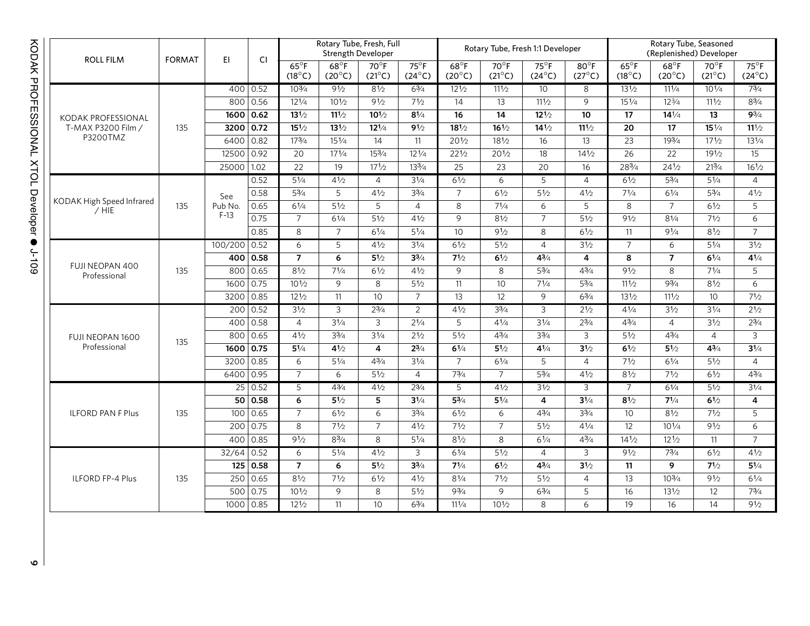| <b>ROLL FILM</b>                     | <b>FORMAT</b> | EI.          | <b>CI</b>   | Rotary Tube, Fresh, Full<br><b>Strength Developer</b> |                                   |                                   |                                 |                                   |                                   | Rotary Tube, Fresh 1:1 Developer |                                   | Rotary Tube, Seasoned<br>(Replenished) Developer |                                  |                                   |                                 |
|--------------------------------------|---------------|--------------|-------------|-------------------------------------------------------|-----------------------------------|-----------------------------------|---------------------------------|-----------------------------------|-----------------------------------|----------------------------------|-----------------------------------|--------------------------------------------------|----------------------------------|-----------------------------------|---------------------------------|
|                                      |               |              |             | $65^{\circ}$ F<br>$(18^{\circ}C)$                     | $68^{\circ}$ F<br>$(20^{\circ}C)$ | $70^{\circ}$ F<br>$(21^{\circ}C)$ | $75^\circ$ F<br>$(24^{\circ}C)$ | $68^{\circ}$ F<br>$(20^{\circ}C)$ | $70^{\circ}$ F<br>$(21^{\circ}C)$ | $75^\circ F$<br>$(24^{\circ}C)$  | $80^{\circ}$ F<br>$(27^{\circ}C)$ | $65^{\circ}$ F<br>$(18^{\circ}C)$                | $68^{\circ}F$<br>$(20^{\circ}C)$ | $70^{\circ}$ F<br>$(21^{\circ}C)$ | $75^\circ F$<br>$(24^{\circ}C)$ |
|                                      |               |              | 400 0.52    | $10^{3}/4$                                            | 91/2                              | $8\frac{1}{2}$                    | $6\frac{3}{4}$                  | 121/2                             | $11^{1/2}$                        | 10                               | 8                                 | $13\frac{1}{2}$                                  | $11\frac{1}{4}$                  | $10^{1/4}$                        | $7^{3}/4$                       |
|                                      |               | 800          | 0.56        | $12^{1/4}$                                            | $10^{1/2}$                        | 91/2                              | 71/2                            | 14                                | 13                                | 111/2                            | 9                                 | $15\frac{1}{4}$                                  | $12^{3}/4$                       | 111/2                             | $8^{3}/_{4}$                    |
| KODAK PROFESSIONAL                   |               | 1600         | 0.62        | $13^{1/2}$                                            | $11^{1/2}$                        | $10^{1/2}$                        | $8\frac{1}{4}$                  | 16                                | 14                                | $12\frac{1}{2}$                  | 10                                | 17                                               | $14^{1/4}$                       | 13                                | $9^{3}/4$                       |
| T-MAX P3200 Film /                   | 135           | 3200         | 0.72        | $15^{1/2}$                                            | $13^{1/2}$                        | $12^{1/4}$                        | 91/2                            | $18\frac{1}{2}$                   | $16\frac{1}{2}$                   | $14\frac{1}{2}$                  | 111/2                             | 20                                               | $\overline{17}$                  | $15\frac{1}{4}$                   | $11^{1/2}$                      |
| P3200TMZ                             |               | 6400         | 0.82        | 173/4                                                 | 151/4                             | 14                                | 11                              | $20\frac{1}{2}$                   | 181/2                             | 16                               | 13                                | $\overline{23}$                                  | 193/4                            | $17\frac{1}{2}$                   | 131/4                           |
|                                      |               | 12500        | 0.92        | 20                                                    | $17^{1/4}$                        | $15^{3}/4$                        | $12\frac{1}{4}$                 | $22\frac{1}{2}$                   | 201/2                             | 18                               | $14\frac{1}{2}$                   | $\overline{26}$                                  | 22                               | 191/2                             | $\overline{15}$                 |
|                                      |               | 25000        | 1.02        | $\overline{22}$                                       | 19                                | $17^{1/2}$                        | $13^{3}/4$                      | 25                                | 23                                | 20                               | 16                                | 283/4                                            | $24^{1/2}$                       | 213/4                             | $16^{1/2}$                      |
|                                      |               |              | 0.52        | $5\frac{1}{4}$                                        | 41/2                              | $\overline{4}$                    | 31/4                            | 61/2                              | 6                                 | $\overline{5}$                   | $\overline{4}$                    | 61/2                                             | 53/4                             | 51/4                              | $\overline{4}$                  |
|                                      |               | See          | 0.58        | 53/4                                                  | 5                                 | 41/2                              | 33/4                            | $\overline{7}$                    | 61/2                              | 51/2                             | 41/2                              | 71/4                                             | 61/4                             | 53/4                              | 41/2                            |
| KODAK High Speed Infrared<br>$/$ HIE | 135           | Pub No.      | 0.65        | 61/4                                                  | 51/2                              | 5                                 | $\overline{4}$                  | 8                                 | 71/4                              | 6                                | 5                                 | 8                                                | $\overline{7}$                   | 61/2                              | 5                               |
|                                      |               | $F-13$       | 0.75        | $\overline{7}$                                        | 61/4                              | 51/2                              | 41/2                            | 9                                 | 81/2                              | $\overline{7}$                   | 51/2                              | 91/2                                             | 81/4                             | 71/2                              | 6                               |
|                                      |               |              | 0.85        | 8                                                     | $\overline{7}$                    | 61/4                              | 51/4                            | $\overline{10}$                   | 91/2                              | 8                                | 61/2                              | 11                                               | 91/4                             | 81/2                              | $\overline{7}$                  |
|                                      |               | 100/200      | 0.52        | 6                                                     | $\overline{5}$                    | 41/2                              | 31/4                            | 61/2                              | 51/2                              | $\overline{4}$                   | 31/2                              | $\overline{7}$                                   | 6                                | 51/4                              | 31/2                            |
|                                      |               |              | 400 0.58    | $\overline{7}$                                        | 6                                 | 51/2                              | $3^{3/4}$                       | 71/2                              | 61/2                              | $4^{3/4}$                        | $\overline{4}$                    | 8                                                | $\overline{7}$                   | 61/4                              | $4\frac{1}{4}$                  |
| FUJI NEOPAN 400<br>Professional      | 135           |              | 800   0.65  | 81/2                                                  | $7^{1/4}$                         | 61/2                              | $4\frac{1}{2}$                  | 9                                 | 8                                 | $5^{3}/4$                        | $4^{3}/4$                         | 91/2                                             | 8                                | 71/4                              | 5                               |
|                                      |               | $1600$ 0.75  |             | $10\frac{1}{2}$                                       | 9                                 | 8                                 | 51/2                            | 11                                | 10                                | 71/4                             | $5^{3}/4$                         | 111/2                                            | 93/4                             | 81/2                              | 6                               |
|                                      |               | 3200 0.85    |             | $12\frac{1}{2}$                                       | 11                                | 10                                | $\overline{7}$                  | 13                                | 12                                | 9                                | 63/4                              | 131/2                                            | 111/2                            | 10                                | 71/2                            |
|                                      |               |              | 200 0.52    | 31/2                                                  | $\overline{\omega}$               | $2^{3/4}$                         | $\overline{2}$                  | 41/2                              | $3^{3}/4$                         | $\overline{3}$                   | 21/2                              | $4^{1/4}$                                        | $3\frac{1}{2}$                   | $3\frac{1}{4}$                    | 21/2                            |
|                                      |               | 400          | 0.58        | $\overline{4}$                                        | 31/4                              | 3                                 | $2^{1/4}$                       | 5                                 | $4^{1/4}$                         | 31/4                             | $2^{3/4}$                         | $4^{3}/_{4}$                                     | $\overline{4}$                   | 31/2                              | $2^{3/4}$                       |
| FUJI NEOPAN 1600                     | 135           | 800          | 0.65        | 41/2                                                  | $3^{3}/4$                         | 31/4                              | 21/2                            | $5\frac{1}{2}$                    | $4^{3}/4$                         | $3^{3}/4$                        | $\mathsf{3}$                      | 51/2                                             | $4^{3}/_{4}$                     | $\overline{4}$                    | 3                               |
| Professional                         |               | 1600 0.75    |             | $5\frac{1}{4}$                                        | 41/2                              | 4                                 | $2^{3/4}$                       | $6^{1/4}$                         | $5^{1/2}$                         | $4\frac{1}{4}$                   | 31/2                              | $6\frac{1}{2}$                                   | $5^{1/2}$                        | $4^{3}/4$                         | $3\frac{1}{4}$                  |
|                                      |               | 3200         | 0.85        | 6                                                     | $5^{1/4}$                         | $4^{3}/4$                         | $3^{1/4}$                       | $\overline{7}$                    | 61/4                              | 5                                | $\overline{4}$                    | 71/2                                             | 61/4                             | 51/2                              | $\overline{4}$                  |
|                                      |               | 6400         | 0.95        | $\overline{7}$                                        | 6                                 | $\overline{51/2}$                 | $\overline{4}$                  | 73/4                              | $\overline{7}$                    | 53/4                             | 41/2                              | 81/2                                             | 71/2                             | 61/2                              | 43/4                            |
|                                      |               |              | 25 0.52     | 5                                                     | 43/4                              | 41/2                              | $2^{3/4}$                       | $\overline{5}$                    | 41/2                              | 31/2                             | З                                 | $\overline{7}$                                   | 61/4                             | 51/2                              | 31/4                            |
|                                      |               |              | 50 0.58     | 6                                                     | $5^{1/2}$                         | 5                                 | $3\frac{1}{4}$                  | $5^{3}/4$                         | $5\frac{1}{4}$                    | 4                                | $3^{1/4}$                         | 81/2                                             | $7^{1/4}$                        | 61/2                              | 4                               |
| <b>ILFORD PAN F Plus</b>             | 135           | 100          | 0.65        | $\overline{7}$                                        | 61/2                              | 6                                 | $3^{3}/4$                       | 61/2                              | 6                                 | $4\frac{3}{4}$                   | $3^{3}/4$                         | 10                                               | 81/2                             | 71/2                              | 5                               |
|                                      |               |              | 200 0.75    | 8                                                     | 71/2                              | $\overline{7}$                    | 41/2                            | 71/2                              | $\overline{7}$                    | $5\frac{1}{2}$                   | $4^{1/4}$                         | 12                                               | $10^{1/4}$                       | 91/2                              | 6                               |
|                                      |               |              | 400 0.85    | 91/2                                                  | $8^{3}/4$                         | 8                                 | $5\frac{1}{4}$                  | 81/2                              | 8                                 | 61/4                             | $4^{3}/_{4}$                      | 141/2                                            | $12\frac{1}{2}$                  | 11                                | $\overline{7}$                  |
|                                      |               | $32/64$ 0.52 |             | $\overline{6}$                                        | $5\frac{1}{4}$                    | 41/2                              | $\overline{3}$                  | 61/4                              | 51/2                              | $\overline{4}$                   | 3                                 | 91/2                                             | 73/4                             | 61/2                              | 41/2                            |
|                                      |               |              | 125 0.58    | $\overline{7}$                                        | 6                                 | $5\frac{1}{2}$                    | $3^{3/4}$                       | 71/4                              | 61/2                              | $4^{3/4}$                        | 31/2                              | 11                                               | 9                                | 71/2                              | $5\frac{1}{4}$                  |
| <b>ILFORD FP-4 Plus</b>              | 135           | 250          | 0.65        | 81/2                                                  | 71/2                              | 61/2                              | 41/2                            | 81/4                              | 71/2                              | 51/2                             | $\overline{4}$                    | 13                                               | $10^{3/4}$                       | 91/2                              | 61/4                            |
|                                      |               |              | 500 0.75    | $10\frac{1}{2}$                                       | 9                                 | 8                                 | 51/2                            | 93/4                              | 9                                 | 63/4                             | 5                                 | 16                                               | 131/2                            | 12                                | 73/4                            |
|                                      |               |              | 1000   0.85 | $12\frac{1}{2}$                                       | 11                                | 10                                | $6\frac{3}{4}$                  | 111/4                             | $10\frac{1}{2}$                   | 8                                | 6                                 | 19                                               | 16                               | 14                                | 91/2                            |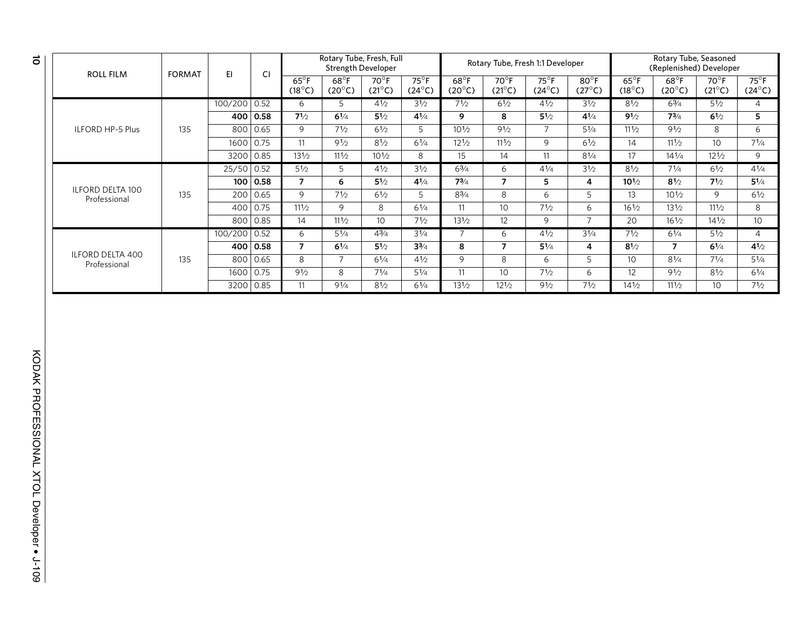| <b>ROLL FILM</b>                        | <b>FORMAT</b> | EI.          | CI         | Rotary Tube, Fresh, Full<br><b>Strength Developer</b> |                                   |                                   |                                 |                                   |                                   | Rotary Tube, Fresh 1:1 Developer  |                                   | Rotary Tube, Seasoned<br>(Replenished) Developer |                                   |                                   |                                 |  |
|-----------------------------------------|---------------|--------------|------------|-------------------------------------------------------|-----------------------------------|-----------------------------------|---------------------------------|-----------------------------------|-----------------------------------|-----------------------------------|-----------------------------------|--------------------------------------------------|-----------------------------------|-----------------------------------|---------------------------------|--|
|                                         |               |              |            | $65^{\circ}$ F<br>$(18^{\circ}C)$                     | $68^{\circ}$ F<br>$(20^{\circ}C)$ | $70^{\circ}$ F<br>$(21^{\circ}C)$ | $75^\circ$ F<br>$(24^{\circ}C)$ | $68^{\circ}$ F<br>$(20^{\circ}C)$ | $70^{\circ}$ F<br>$(21^{\circ}C)$ | $75^{\circ}$ F<br>$(24^{\circ}C)$ | $80^{\circ}$ F<br>$(27^{\circ}C)$ | $65^{\circ}$ F<br>$(18^{\circ}C)$                | $68^{\circ}$ F<br>$(20^{\circ}C)$ | $70^{\circ}$ F<br>$(21^{\circ}C)$ | $75^\circ$ F<br>$(24^{\circ}C)$ |  |
|                                         |               | 100/200 0.52 |            | 6                                                     | 5                                 | $4\frac{1}{2}$                    | 31/2                            | 71/2                              | 61/2                              | 41/2                              | 31/2                              | 81/2                                             | 63/4                              | $5\frac{1}{2}$                    | $\overline{4}$                  |  |
|                                         |               |              | 400   0.58 | 71/2                                                  | 61/4                              | $5\frac{1}{2}$                    | 41/4                            | 9                                 | 8                                 | $5\frac{1}{2}$                    | 41/4                              | 91/2                                             | 73/4                              | 61/2                              | 5                               |  |
| <b>ILFORD HP-5 Plus</b>                 | 135           |              | 800 0.65   | 9                                                     | 71/2                              | $6\frac{1}{2}$                    | 5                               | $10\frac{1}{2}$                   | 91/2                              | $\overline{7}$                    | $5\frac{1}{4}$                    | 111/2                                            | 91/2                              | 8                                 | 6                               |  |
|                                         |               | 1600         | 0.75       | 11                                                    | 91/2                              | 81/2                              | 61/4                            | $12\frac{1}{2}$                   | 111/2                             | 9                                 | $6\frac{1}{2}$                    | 14                                               | $11\frac{1}{2}$                   | 10                                | $7^{1/4}$                       |  |
|                                         |               |              | 3200 0.85  | 131/2                                                 | 111/2                             | $10^{1/2}$                        | 8                               | 15                                | 14                                | 11                                | $8^{1/4}$                         | 17                                               | $14^{1/4}$                        | $12\frac{1}{2}$                   | 9                               |  |
|                                         |               | $25/50$ 0.52 |            | $5\frac{1}{2}$                                        | 5.                                | $4\frac{1}{2}$                    | 31/2                            | $6^{3}/_{4}$                      | 6                                 | $4\frac{1}{4}$                    | $3\frac{1}{2}$                    | 81/2                                             | $7^{1/4}$                         | $6\frac{1}{2}$                    | $4^{1/4}$                       |  |
|                                         |               |              | 100   0.58 | $\overline{7}$                                        | 6                                 | $5\frac{1}{2}$                    | $4^{1/4}$                       | $7^{3}/4$                         | 7                                 | 5                                 | 4                                 | $10^{1/2}$                                       | $8\frac{1}{2}$                    | $7^{1/2}$                         | $5^{1/4}$                       |  |
| <b>ILFORD DELTA 100</b><br>Professional | 135           | 200          | 0.65       | 9                                                     | 71/2                              | $6\frac{1}{2}$                    | 5                               | $8^{3}/_{4}$                      | 8                                 | 6                                 | 5                                 | 13                                               | $10\frac{1}{2}$                   | 9                                 | $6\frac{1}{2}$                  |  |
|                                         |               | 400          | 0.75       | 111/2                                                 | 9                                 | 8                                 | 61/4                            | 11                                | 10                                | 71/2                              | 6                                 | $16\frac{1}{2}$                                  | $13\frac{1}{2}$                   | 111/2                             | 8                               |  |
|                                         |               |              | 800   0.85 | 14                                                    | 111/2                             | 10 <sup>°</sup>                   | 71/2                            | 131/2                             | 12                                | 9                                 | $\overline{7}$                    | 20                                               | $16\frac{1}{2}$                   | $14\frac{1}{2}$                   | 10 <sup>°</sup>                 |  |
|                                         |               | 100/200 0.52 |            | 6                                                     | 51/4                              | 43/4                              | 31/4                            |                                   | 6                                 | 41/2                              | 31/4                              | 71/2                                             | 61/4                              | 51/2                              | 4                               |  |
|                                         |               |              | 400 0.58   | 7                                                     | $6^{1/4}$                         | $5\frac{1}{2}$                    | $3^{3/4}$                       | 8                                 | 7                                 | $5^{1/4}$                         | 4                                 | $8^{1/2}$                                        | $\overline{7}$                    | $6^{1/4}$                         | $4^{1/2}$                       |  |
| <b>ILFORD DELTA 400</b><br>Professional | 135           | 800          | 0.65       | 8                                                     | $\overline{7}$                    | $6^{1/4}$                         | $4\frac{1}{2}$                  | 9                                 | 8                                 | 6                                 | 5                                 | 10 <sup>°</sup>                                  | $8\frac{1}{4}$                    | $7^{1/4}$                         | $5^{1/4}$                       |  |
|                                         |               | 1600         | 0.75       | 91/2                                                  | 8                                 | 71/4                              | $5\frac{1}{4}$                  | 11                                | 10                                | 71/2                              | 6                                 | 12                                               | 91/2                              | $8\frac{1}{2}$                    | 61/4                            |  |
|                                         |               |              | 3200 0.85  | 11                                                    | 91/4                              | 81/2                              | $6\frac{1}{4}$                  | 131/2                             | $12^{1/2}$                        | 91/2                              | 71/2                              | $14\frac{1}{2}$                                  | $11\frac{1}{2}$                   | 10                                | 71/2                            |  |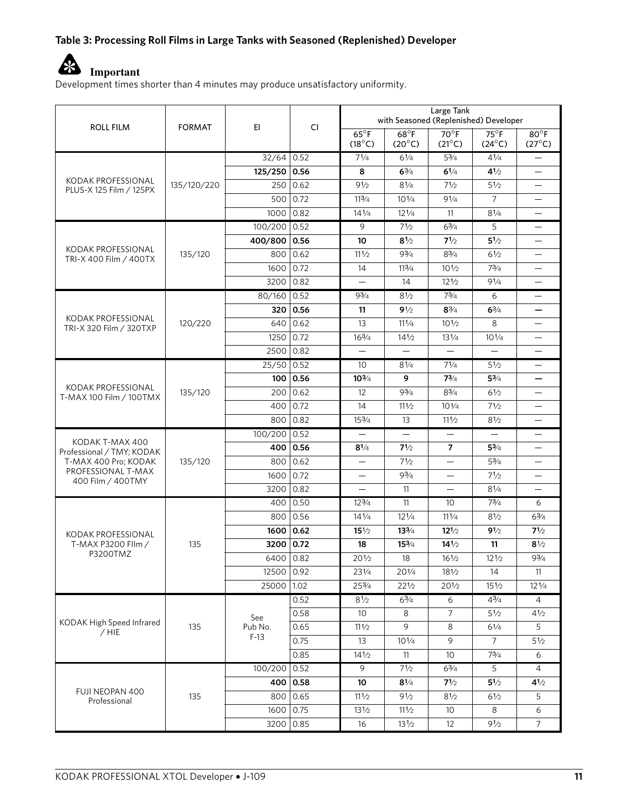#### **Table 3: Processing Roll Films in Large Tanks with Seasoned (Replenished) Developer**



Development times shorter than 4 minutes may produce unsatisfactory uniformity.

| ROLL FILM                                     | <b>FORMAT</b> | EI.               | <b>CI</b>      | Large Tank<br>with Seasoned (Replenished) Developer |                                   |                                   |                                 |                                   |  |
|-----------------------------------------------|---------------|-------------------|----------------|-----------------------------------------------------|-----------------------------------|-----------------------------------|---------------------------------|-----------------------------------|--|
|                                               |               |                   |                | $65^{\circ}$ F<br>$(18^{\circ}C)$                   | $68^{\circ}$ F<br>$(20^{\circ}C)$ | $70^{\circ}$ F<br>$(21^{\circ}C)$ | $75^\circ$ F<br>$(24^{\circ}C)$ | $80^{\circ}$ F<br>$(27^{\circ}C)$ |  |
|                                               |               | $32/64$ 0.52      |                | 71/4                                                | 61/4                              | 53/4                              | 41/4                            |                                   |  |
|                                               |               | $125/250$ 0.56    |                | 8                                                   | $6\frac{3}{4}$                    | $6^{1/4}$                         | $4^{1/2}$                       | $\overline{\phantom{0}}$          |  |
| KODAK PROFESSIONAL<br>PLUS-X 125 Film / 125PX | 135/120/220   | 250               | 0.62           | 91/2                                                | $8\frac{1}{4}$                    | 71/2                              | $5\frac{1}{2}$                  |                                   |  |
|                                               |               | 500               | 0.72           | 113/4                                               | $10^{1/4}$                        | 91/4                              | $\overline{7}$                  | $\overline{\phantom{0}}$          |  |
|                                               |               | 1000              | 0.82           | $14\frac{1}{4}$                                     | $12^{1/4}$                        | 11                                | 81/4                            |                                   |  |
|                                               |               | 100/200 0.52      |                | 9                                                   | 71/2                              | $6^{3}/4$                         | 5                               | $\overline{\phantom{0}}$          |  |
|                                               |               | 400/800           | 0.56           | 10                                                  | 81/2                              | 71/2                              | $5\frac{1}{2}$                  |                                   |  |
| KODAK PROFESSIONAL<br>TRI-X 400 Film / 400TX  | 135/120       | 800               | 0.62           | 111/2                                               | 93/4                              | $8^{3}/_{4}$                      | 61/2                            | $\overline{\phantom{0}}$          |  |
|                                               |               | 1600              | 0.72           | 14                                                  | 113/4                             | $10\frac{1}{2}$                   | 73/4                            |                                   |  |
|                                               |               | 3200              | 0.82           |                                                     | 14                                | $12\frac{1}{2}$                   | 91/4                            | $\overline{\phantom{0}}$          |  |
|                                               |               | 80/160            | 0.52           | 93/4                                                | 81/2                              | $7^{3}/4$                         | 6                               | $\overline{\phantom{0}}$          |  |
|                                               |               |                   | 320 0.56       | 11                                                  | 91/2                              | $8\frac{3}{4}$                    | $6^{3/4}$                       | $\overline{\phantom{0}}$          |  |
| KODAK PROFESSIONAL<br>TRI-X 320 Film / 320TXP | 120/220       | 640               | 0.62           | 13                                                  | 111/4                             | $10\frac{1}{2}$                   | 8                               |                                   |  |
|                                               |               | 1250              | 0.72           | $16\frac{3}{4}$                                     | $14\frac{1}{2}$                   | 131/4                             | $10^{1/4}$                      | $\overline{\phantom{0}}$          |  |
|                                               |               | 2500              | 0.82           |                                                     |                                   | $\overline{\phantom{0}}$          | $\overline{\phantom{0}}$        | $\overline{\phantom{0}}$          |  |
|                                               |               | $25/50$ 0.52      |                | 10                                                  | 81/4                              | 71/4                              | 51/2                            | $\overline{\phantom{0}}$          |  |
| KODAK PROFESSIONAL                            | 135/120       | 100               | 0.56           | $10^{3/4}$                                          | 9                                 | 73/4                              | $5^{3/4}$                       |                                   |  |
| T-MAX 100 Film / 100TMX                       |               | 200               | 0.62           | 12                                                  | 93/4                              | $8^{3}/_{4}$                      | 61/2                            | $\overline{\phantom{0}}$          |  |
|                                               |               | 400               | 0.72           | 14                                                  | 111/2                             | $10\frac{1}{4}$                   | 71/2                            | $\overline{\phantom{0}}$          |  |
|                                               |               | 800               | 0.82           | 153/4                                               | 13                                | 111/2                             | 81/2                            | $\overline{\phantom{0}}$          |  |
| KODAK T-MAX 400                               |               | 100/200 0.52      |                | $\overline{\phantom{0}}$                            | $\overline{\phantom{0}}$          | $\overline{\phantom{0}}$          | $\qquad \qquad -$               |                                   |  |
| Professional / TMY; KODAK                     |               | 400               | 0.56           | $8^{1/4}$                                           | $7\frac{1}{2}$                    | $\overline{7}$                    | $5^{3}/4$                       | $\overline{\phantom{0}}$          |  |
| T-MAX 400 Pro; KODAK<br>PROFESSIONAL T-MAX    | 135/120       | 800               | 0.62           | $\qquad \qquad -$                                   | 71/2                              |                                   | 53/4                            | $\overline{\phantom{0}}$          |  |
| 400 Film / 400TMY                             |               | 1600              | 0.72           | $\overline{\phantom{0}}$                            | 93/4                              |                                   | 71/2                            |                                   |  |
|                                               |               | 3200              | 0.82           |                                                     | 11                                | $\equiv$                          | 81/4                            |                                   |  |
|                                               |               | 400               | 0.50           | 123/4                                               | 11                                | 10 <sup>°</sup>                   | $7^{3}/4$                       | 6                                 |  |
|                                               |               | 800               | 0.56           | $14\frac{1}{4}$                                     | 121/4                             | 111/4                             | 81/2                            | 63/4                              |  |
| KODAK PROFESSIONAL                            |               | 1600   0.62       |                | $15\frac{1}{2}$                                     | $13^{3}/4$                        | $12^{1/2}$                        | 91/2                            | $7\frac{1}{2}$                    |  |
| T-MAX P3200 Fllm /<br>P3200TMZ                | 135           | 3200              | $ 0.72\rangle$ | 18                                                  | 153/4                             | $14\frac{1}{2}$                   | 11                              | $8\frac{1}{2}$                    |  |
|                                               |               | 6400 0.82         |                | 201/2                                               | 18                                | $16\frac{1}{2}$                   | $12\frac{1}{2}$                 | $9^{3}/_{4}$                      |  |
|                                               |               | 12500             | 0.92           | 231/4                                               | 201/4                             | 181/2                             | 14                              | 11                                |  |
|                                               |               | 25000             | 1.02           | 253/4                                               | 221/2                             | $20\frac{1}{2}$                   | $15\frac{1}{2}$                 | $12\frac{1}{4}$                   |  |
|                                               |               |                   | 0.52           | 81/2                                                | 63/4                              | 6                                 | 43/4                            | $\overline{4}$                    |  |
| KODAK High Speed Infrared                     |               | See               | 0.58           | 10 <sup>°</sup>                                     | 8                                 | 7                                 | $5\frac{1}{2}$                  | $4\frac{1}{2}$                    |  |
| $/$ HIE                                       | 135           | Pub No.<br>$F-13$ | 0.65           | 111/2                                               | 9                                 | 8                                 | 61/4                            | 5                                 |  |
|                                               |               |                   | 0.75           | 13                                                  | $10\frac{1}{4}$                   | 9                                 | $\overline{7}$                  | $5\frac{1}{2}$                    |  |
|                                               |               |                   | 0.85           | 141/2                                               | 11                                | 10                                | 73/4                            | 6                                 |  |
|                                               |               | 100/200 0.52      |                | 9                                                   | 71/2                              | $6^{3}/4$                         | 5                               | 4                                 |  |
| <b>FUJI NEOPAN 400</b>                        |               |                   | 400 0.58       | 10                                                  | $8\frac{1}{4}$                    | 71/2                              | $5\frac{1}{2}$                  | 41/2                              |  |
| Professional                                  | 135           | 800               | 0.65           | 111/2                                               | 91/2                              | 81/2                              | 61/2                            | 5                                 |  |
|                                               |               | 1600              | 0.75           | 131/2                                               | 111/2                             | 10 <sup>°</sup>                   | $\,8\,$                         | 6                                 |  |
|                                               |               | 3200              | 0.85           | 16                                                  | $13\frac{1}{2}$                   | 12                                | 91/2                            | 7                                 |  |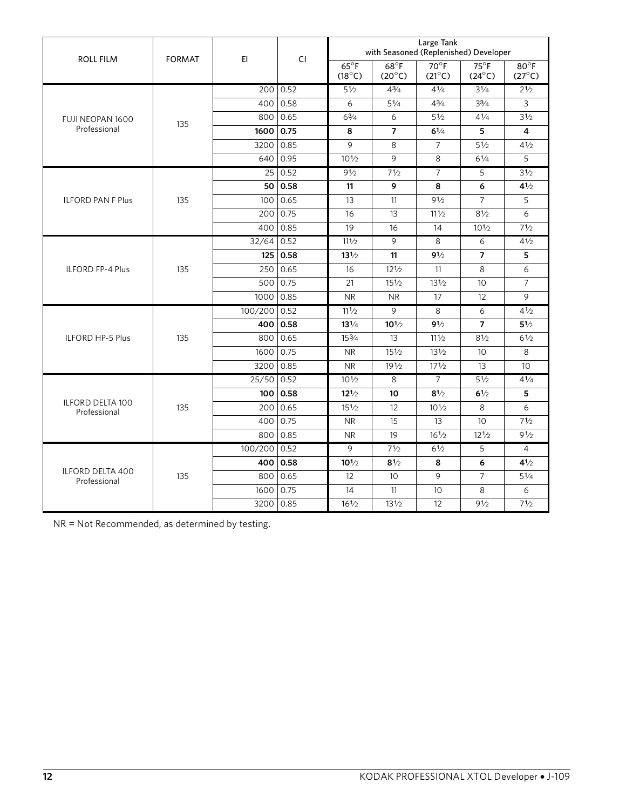| <b>ROLL FILM</b>                        | <b>FORMAT</b> | EI.          | CI.        | Large Tank<br>with Seasoned (Replenished) Developer |                                  |                                 |                                   |                                   |  |
|-----------------------------------------|---------------|--------------|------------|-----------------------------------------------------|----------------------------------|---------------------------------|-----------------------------------|-----------------------------------|--|
|                                         |               |              |            | $65^{\circ}F$<br>$(18^{\circ}C)$                    | $68^{\circ}F$<br>$(20^{\circ}C)$ | $70^\circ$ F<br>$(21^{\circ}C)$ | $75^{\circ}$ F<br>$(24^{\circ}C)$ | $80^{\circ}$ F<br>$(27^{\circ}C)$ |  |
|                                         |               |              | 200 0.52   | 51/2                                                | 43/4                             | $4^{1/4}$                       | 31/4                              | 21/2                              |  |
|                                         |               | 400          | 0.58       | 6                                                   | $5\frac{1}{4}$                   | $4^{3}/_{4}$                    | $3^{3}/4$                         | 3                                 |  |
| FUJI NEOPAN 1600                        | 135           | 800          | 0.65       | $6^{3}/_{4}$                                        | 6                                | 51/2                            | $4^{1/4}$                         | 31/2                              |  |
| Professional                            |               | 1600         | 0.75       | 8                                                   | $\overline{7}$                   | 61/4                            | 5                                 | 4                                 |  |
|                                         |               | 3200         | 0.85       | 9                                                   | 8                                | $\overline{7}$                  | 51/2                              | 41/2                              |  |
|                                         |               | 640          | 0.95       | $10\frac{1}{2}$                                     | 9                                | 8                               | $6^{1/4}$                         | 5                                 |  |
|                                         |               | 25           | 0.52       | 91/2                                                | 71/2                             | $\overline{7}$                  | 5                                 | 31/2                              |  |
|                                         |               | 50           | 0.58       | 11                                                  | 9                                | 8                               | 6                                 | 41/2                              |  |
| <b>ILFORD PAN F Plus</b>                | 135           | 100          | 0.65       | 13                                                  | 11                               | 91/2                            | $\overline{7}$                    | 5                                 |  |
|                                         |               | 200          | 0.75       | 16                                                  | 13                               | 111/2                           | 81/2                              | 6                                 |  |
|                                         |               | 400          | 0.85       | 19                                                  | 16                               | 14                              | $10\frac{1}{2}$                   | 71/2                              |  |
|                                         |               | 32/64        | 0.52       | 111/2                                               | 9                                | 8                               | 6                                 | 41/2                              |  |
|                                         |               |              | 125   0.58 | $13\frac{1}{2}$                                     | 11                               | 91/2                            | $\overline{7}$                    | 5                                 |  |
| <b>ILFORD FP-4 Plus</b>                 | 135           | 250          | 0.65       | 16                                                  | 121/2                            | 11                              | 8                                 | 6                                 |  |
|                                         |               | 500          | 0.75       | 21                                                  | $15\frac{1}{2}$                  | $13\frac{1}{2}$                 | 10 <sup>°</sup>                   | $\overline{7}$                    |  |
|                                         |               | 1000         | 0.85       | <b>NR</b>                                           | <b>NR</b>                        | 17                              | 12                                | 9                                 |  |
|                                         | 135           | 100/200 0.52 |            | 111/2                                               | 9                                | 8                               | 6                                 | 41/2                              |  |
|                                         |               | 400          | 0.58       | $13\frac{1}{4}$                                     | $10^{1/2}$                       | 91/2                            | $\overline{7}$                    | 51/2                              |  |
| <b>ILFORD HP-5 Plus</b>                 |               | 800          | 0.65       | 153/4                                               | 13                               | 111/2                           | 81/2                              | 61/2                              |  |
|                                         |               | 1600         | 0.75       | <b>NR</b>                                           | 151/2                            | 131/2                           | 10 <sup>°</sup>                   | 8                                 |  |
|                                         |               | 3200         | 0.85       | <b>NR</b>                                           | 191/2                            | 171/2                           | 13                                | 10                                |  |
|                                         |               | $25/50$ 0.52 |            | $10\frac{1}{2}$                                     | 8                                | $\overline{7}$                  | 51/2                              | 41/4                              |  |
|                                         |               | 100          | 0.58       | $12^{1/2}$                                          | 10                               | 81/2                            | 61/2                              | 5                                 |  |
| <b>ILFORD DELTA 100</b><br>Professional | 135           | 200          | 0.65       | 151/2                                               | 12                               | 101/2                           | 8                                 | 6                                 |  |
|                                         |               | 400          | 0.75       | <b>NR</b>                                           | 15                               | 13                              | 10 <sup>°</sup>                   | 71/2                              |  |
|                                         |               | 800          | 0.85       | <b>NR</b>                                           | 19                               | $16\frac{1}{2}$                 | $12\frac{1}{2}$                   | 91/2                              |  |
|                                         |               | 100/200 0.52 |            | 9                                                   | 71/2                             | 61/2                            | 5                                 | $\overline{4}$                    |  |
|                                         |               | 400          | 0.58       | $10^{1/2}$                                          | 81/2                             | 8                               | 6                                 | 41/2                              |  |
| <b>ILFORD DELTA 400</b><br>Professional | 135           | 800          | 0.65       | 12                                                  | 10 <sup>2</sup>                  | 9                               | $\overline{7}$                    | $5\frac{1}{4}$                    |  |
|                                         |               | 1600         | 0.75       | 14                                                  | 11                               | 10 <sup>°</sup>                 | 8                                 | 6                                 |  |
|                                         |               | 3200   0.85  |            | $16\frac{1}{2}$                                     | 131/2                            | 12                              | 91/2                              | 71/2                              |  |

NR = Not Recommended, as determined by testing.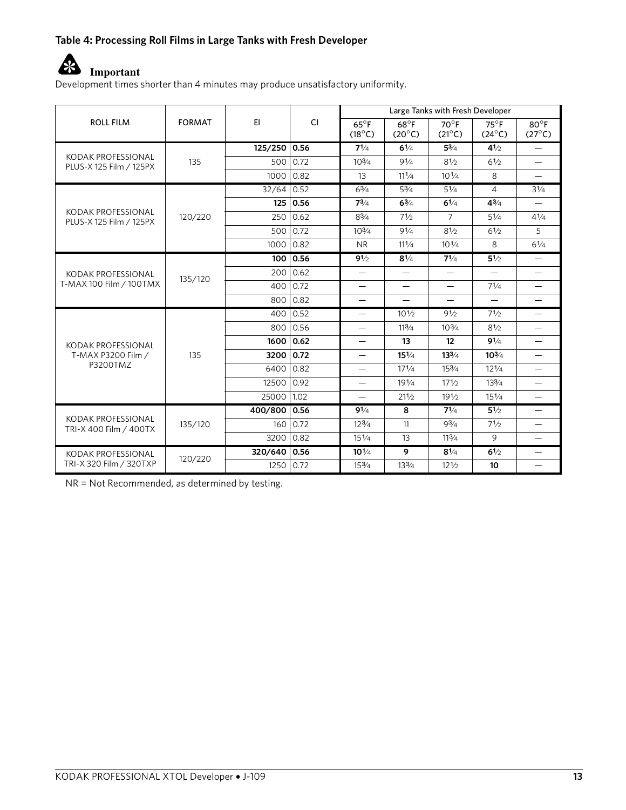#### **Table 4: Processing Roll Films in Large Tanks with Fresh Developer**



Development times shorter than 4 minutes may produce unsatisfactory uniformity.

|                                               |               |              |           |                                   | Large Tanks with Fresh Developer  |                                 |                                 |                                   |  |  |  |
|-----------------------------------------------|---------------|--------------|-----------|-----------------------------------|-----------------------------------|---------------------------------|---------------------------------|-----------------------------------|--|--|--|
| <b>ROLL FILM</b>                              | <b>FORMAT</b> | EI.          | <b>CI</b> | $65^{\circ}$ F<br>$(18^{\circ}C)$ | $68^{\circ}$ F<br>$(20^{\circ}C)$ | $70^\circ$ F<br>$(21^{\circ}C)$ | $75^\circ$ F<br>$(24^{\circ}C)$ | $80^{\circ}$ F<br>$(27^{\circ}C)$ |  |  |  |
|                                               |               | 125/250 0.56 |           | $7^{1/4}$                         | $6\frac{1}{4}$                    | $5^{3}/_{4}$                    | 41/2                            | $\overline{\phantom{0}}$          |  |  |  |
| KODAK PROFESSIONAL<br>PLUS-X 125 Film / 125PX | 135           | 500          | 0.72      | 103/4                             | 91/4                              | 81/2                            | 61/2                            | $\overline{\phantom{0}}$          |  |  |  |
|                                               |               | 1000         | 0.82      | 13                                | $11^{1/4}$                        | $10\frac{1}{4}$                 | 8                               | $\overline{\phantom{0}}$          |  |  |  |
|                                               |               | 32/64        | 0.52      | $6^{3}/4$                         | $5\frac{3}{4}$                    | $5\frac{1}{4}$                  | 4                               | 31/4                              |  |  |  |
|                                               |               | 125          | 0.56      | $7^{3/4}$                         | $6^{3/4}$                         | $6^{1/4}$                       | $4^{3/4}$                       | $\qquad \qquad -$                 |  |  |  |
| KODAK PROFESSIONAL<br>PLUS-X 125 Film / 125PX | 120/220       | 250          | 0.62      | 83/4                              | 71/2                              | $\overline{7}$                  | 51/4                            | 41/4                              |  |  |  |
|                                               |               | 500          | 0.72      | $10^{3}/4$                        | 91/4                              | 81/2                            | $6\frac{1}{2}$                  | 5                                 |  |  |  |
|                                               |               | 1000         | 0.82      | <b>NR</b>                         | $11^{1/4}$                        | $10\frac{1}{4}$                 | 8                               | $6^{1/4}$                         |  |  |  |
|                                               |               | 100          | 0.56      | 91/2                              | $8\frac{1}{4}$                    | $7^{1/4}$                       | 51/2                            |                                   |  |  |  |
| KODAK PROFESSIONAL                            | 135/120       | 200          | 0.62      | $\qquad \qquad -$                 | $\qquad \qquad$                   |                                 | $\overline{\phantom{0}}$        | $\overline{\phantom{0}}$          |  |  |  |
| T-MAX 100 Film / 100TMX                       |               | 400          | 0.72      | $\overline{\phantom{0}}$          | $\overline{\phantom{0}}$          | $\qquad \qquad -$               | $7^{1/4}$                       | $\overline{\phantom{0}}$          |  |  |  |
|                                               |               | 800          | 0.82      | $\overline{\phantom{0}}$          | $\qquad \qquad$                   | $\qquad \qquad -$               | $\overline{\phantom{0}}$        | $\overline{\phantom{0}}$          |  |  |  |
|                                               |               | 400          | 0.52      | $\overline{\phantom{0}}$          | $10\frac{1}{2}$                   | 91/2                            | 71/2                            | $\qquad \qquad -$                 |  |  |  |
|                                               |               | 800          | 0.56      | $\qquad \qquad -$                 | 113/4                             | $10\frac{3}{4}$                 | 81/2                            | $\qquad \qquad -$                 |  |  |  |
| KODAK PROFESSIONAL                            |               | 1600         | 0.62      | $\qquad \qquad -$                 | 13                                | 12                              | 91/4                            | $\overline{\phantom{0}}$          |  |  |  |
| T-MAX P3200 Film /                            | 135           | 3200         | 0.72      | $\overline{\phantom{0}}$          | $15\frac{1}{4}$                   | $13^{3}/4$                      | $10^{3/4}$                      |                                   |  |  |  |
| P3200TMZ                                      |               | 6400         | 0.82      |                                   | $17^{1/4}$                        | 153/4                           | $12\frac{1}{4}$                 | $\overline{\phantom{0}}$          |  |  |  |
|                                               |               | 12500        | 0.92      | $\overline{\phantom{0}}$          | 191/4                             | 171/2                           | 133/4                           | $\overline{\phantom{0}}$          |  |  |  |
|                                               |               | 25000        | 1.02      | $\overline{\phantom{0}}$          | 211/2                             | 191/2                           | $15\frac{1}{4}$                 | $\equiv$                          |  |  |  |
|                                               |               | 400/800 0.56 |           | 91/4                              | 8                                 | $7^{1/4}$                       | $5^{1/2}$                       |                                   |  |  |  |
| KODAK PROFESSIONAL<br>TRI-X 400 Film / 400TX  | 135/120       | 160          | 0.72      | $12\frac{3}{4}$                   | 11                                | $9^{3}/_{4}$                    | 71/2                            | $\overline{\phantom{0}}$          |  |  |  |
|                                               |               | 3200         | 0.82      | 151/4                             | 13                                | 113/4                           | 9                               | $\overline{\phantom{0}}$          |  |  |  |
| KODAK PROFESSIONAL                            | 120/220       | 320/640 0.56 |           | $10^{1/4}$                        | 9                                 | $8^{1/4}$                       | $6\frac{1}{2}$                  | $\qquad \qquad -$                 |  |  |  |
| TRI-X 320 Film / 320TXP                       |               | 1250         | 0.72      | 153/4                             | 133/4                             | $12\frac{1}{2}$                 | 10                              | —                                 |  |  |  |

NR = Not Recommended, as determined by testing.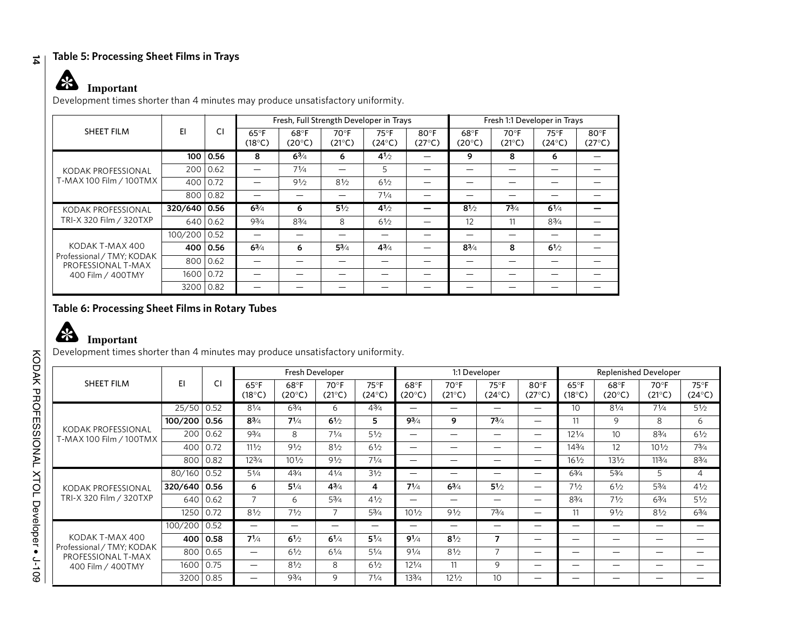#### **14 Table 5: Processing Sheet Films in Trays**

## **Important**

Development times shorter than 4 minutes may produce unsatisfactory uniformity.

|                                                                      |         |      |                          | Fresh, Full Strength Developer in Trays |                                   |                         |                         | Fresh 1:1 Developer in Trays      |                                 |                                 |                                   |
|----------------------------------------------------------------------|---------|------|--------------------------|-----------------------------------------|-----------------------------------|-------------------------|-------------------------|-----------------------------------|---------------------------------|---------------------------------|-----------------------------------|
| <b>SHEET FILM</b>                                                    | EI      | CI   | $65^{\circ}$ F<br>(18°C) | 68°F<br>$(20^{\circ}C)$                 | $70^{\circ}$ F<br>$(21^{\circ}C)$ | $75^{\circ}F$<br>(24°C) | 80°F<br>$(27^{\circ}C)$ | $68^{\circ}$ F<br>$(20^{\circ}C)$ | $70^\circ F$<br>$(21^{\circ}C)$ | $75^\circ F$<br>$(24^{\circ}C)$ | $80^{\circ}$ F<br>$(27^{\circ}C)$ |
|                                                                      | 100     | 0.56 | 8                        | 63/4                                    | 6                                 | 41/2                    |                         | 9                                 | 8                               | 6                               |                                   |
| KODAK PROFESSIONAL                                                   | 200     | 0.62 |                          | 71/4                                    |                                   | 5                       |                         |                                   |                                 |                                 |                                   |
| T-MAX 100 Film / 100TMX                                              | 400     | 0.72 |                          | 91/2                                    | $8\frac{1}{2}$                    | 61/2                    |                         |                                   |                                 |                                 |                                   |
|                                                                      | 800     | 0.82 |                          |                                         |                                   | $7^{1/4}$               |                         |                                   |                                 |                                 |                                   |
| KODAK PROFESSIONAL                                                   | 320/640 | 0.56 | $6^{3}/4$                | 6                                       | $5\frac{1}{2}$                    | $4^{1/2}$               |                         | $8^{1/2}$                         | $7^{3/4}$                       | $6\frac{1}{4}$                  |                                   |
| TRI-X 320 Film / 320TXP                                              | 640     | 0.62 | $9^{3}/_{4}$             | $8^{3}/4$                               | 8                                 | 61/2                    |                         | 12                                | 11                              | $8^{3}/4$                       |                                   |
|                                                                      | 100/200 | 0.52 |                          |                                         |                                   |                         |                         |                                   |                                 |                                 |                                   |
| KODAK T-MAX 400                                                      | 400     | 0.56 | $6^{3/4}$                | 6                                       | $5^{3}/4$                         | $4^{3}/_{4}$            |                         | $8^{3}/_{4}$                      | 8                               | $6^{1/2}$                       |                                   |
| Professional / TMY; KODAK<br>PROFESSIONAL T-MAX<br>400 Film / 400TMY | 800     | 0.62 |                          |                                         |                                   |                         |                         |                                   |                                 |                                 |                                   |
|                                                                      | 1600    | 0.72 |                          |                                         |                                   |                         |                         |                                   |                                 |                                 |                                   |
|                                                                      | 3200    | 0.82 |                          |                                         |                                   |                         |                         |                                   |                                 |                                 |                                   |

#### **Table 6: Processing Sheet Films in Rotary Tubes**



# **Important**

Development times shorter than 4 minutes may produce unsatisfactory uniformity.

|                                                                      |         |      | Fresh Developer                   |                                   |                         |                                 | 1:1 Developer                     |                                   |                                 |                                 | <b>Replenished Developer</b> |                                   |                                   |                         |
|----------------------------------------------------------------------|---------|------|-----------------------------------|-----------------------------------|-------------------------|---------------------------------|-----------------------------------|-----------------------------------|---------------------------------|---------------------------------|------------------------------|-----------------------------------|-----------------------------------|-------------------------|
| SHEET FILM                                                           | EI      | CI   | $65^{\circ}$ F<br>$(18^{\circ}C)$ | $68^{\circ}$ F<br>$(20^{\circ}C)$ | 70°F<br>$(21^{\circ}C)$ | $75^\circ F$<br>$(24^{\circ}C)$ | $68^{\circ}$ F<br>$(20^{\circ}C)$ | $70^{\circ}$ F<br>$(21^{\circ}C)$ | $75^\circ F$<br>$(24^{\circ}C)$ | $80^\circ$ F<br>$(27^{\circ}C)$ | $65^{\circ}$ F<br>(18°C)     | $68^{\circ}$ F<br>$(20^{\circ}C)$ | $70^{\circ}$ F<br>$(21^{\circ}C)$ | 75°F<br>$(24^{\circ}C)$ |
|                                                                      | 25/50   | 0.52 | $8\frac{1}{4}$                    | $6\frac{3}{4}$                    | 6                       | $4^{3}/_{4}$                    |                                   | $\overline{\phantom{m}}$          | —                               | —                               | 10                           | $8^{1/4}$                         | $7^{1/4}$                         | $5\frac{1}{2}$          |
|                                                                      | 100/200 | 0.56 | $8^{3}/_{4}$                      | $7^{1/4}$                         | $6\frac{1}{2}$          | 5                               | $9^{3}/_{4}$                      | 9                                 | $7^{3/4}$                       | —                               | 11                           | 9                                 | 8                                 | 6                       |
| KODAK PROFESSIONAL<br>T-MAX 100 Film / 100TMX                        | 200     | 0.62 | 93/4                              | 8                                 | 71/4                    | 51/2                            | $\overline{\phantom{m}}$          |                                   | $\overline{\phantom{m}}$        | $\overline{\phantom{0}}$        | $12\frac{1}{4}$              | 10 <sup>°</sup>                   | 83/4                              | 61/2                    |
|                                                                      | 400     | 0.72 | $11\frac{1}{2}$                   | 91/2                              | $8\frac{1}{2}$          | $6\frac{1}{2}$                  | $\overline{\phantom{m}}$          |                                   | —                               | —                               | 143⁄4                        | 12                                | $10\frac{1}{2}$                   | $7^{3}/4$               |
|                                                                      | 800     | 0.82 | 123/4                             | $10^{1/2}$                        | 91/2                    | $7^{1/4}$                       | $\overline{\phantom{m}}$          |                                   |                                 | —                               | $16\frac{1}{2}$              | $13\frac{1}{2}$                   | 113/4                             | $8^{3}/_{4}$            |
|                                                                      | 80/160  | 0.52 | 51/4                              | 43/4                              | 41/4                    | 31/2                            | $\overline{\phantom{m}}$          | $\overline{\phantom{m}}$          | $\overline{\phantom{m}}$        | —                               | 63/4                         | 53/4                              | 5                                 | 4                       |
| KODAK PROFESSIONAL                                                   | 320/640 | 0.56 | 6                                 | 51/4                              | 43/4                    | 4                               | 71/4                              | $6^{3/4}$                         | 51/2                            | —                               | 71/2                         | 61/2                              | 53/4                              | 41/2                    |
| TRI-X 320 Film / 320TXP                                              | 640     | 0.62 | $\overline{7}$                    | 6                                 | 53/4                    | 41/2                            |                                   | $\overline{\phantom{m}}$          | $\overline{\phantom{m}}$        | —                               | 83/4                         | 71/2                              | 63/4                              | 51/2                    |
|                                                                      | 1250    | 0.72 | 81/2                              | 71/2                              | $\overline{7}$          | 53/4                            | $10\frac{1}{2}$                   | 91/2                              | 73/4                            | —                               | 11                           | 91/2                              | 81/2                              | 63/4                    |
|                                                                      | 100/200 | 0.52 | $\overline{\phantom{0}}$          | —                                 |                         | $\overline{\phantom{0}}$        |                                   |                                   | –                               | –                               | –                            |                                   | –                                 | —                       |
| KODAK T-MAX 400                                                      | 400     | 0.58 | $7^{1/4}$                         | $6^{1/2}$                         | $6^{1/4}$               | $5\frac{1}{4}$                  | $9^{1/4}$                         | $8\frac{1}{2}$                    | 7                               | —                               | –                            |                                   | $\overbrace{\phantom{aaaa}}$      |                         |
| Professional / TMY; KODAK<br>PROFESSIONAL T-MAX<br>400 Film / 400TMY | 800     | 0.65 | $\overline{\phantom{0}}$          | 61/2                              | 61/4                    | 51/4                            | 91/4                              | 81/2                              | 7                               | —                               | —                            | –                                 |                                   |                         |
|                                                                      | 1600    | 0.75 | $\overline{\phantom{m}}$          | $8\frac{1}{2}$                    | 8                       | $6\frac{1}{2}$                  | 121/4                             | 11                                | 9                               | —                               | –                            |                                   | $\overbrace{\phantom{aaaa}}$      |                         |
|                                                                      | 3200    | 0.85 | —                                 | 93/4                              | 9                       | $7^{1/4}$                       | 133/4                             | $12\frac{1}{2}$                   | 10                              | —                               |                              |                                   |                                   |                         |

KODAK PROFESSIONAL XTOL Developer • J-109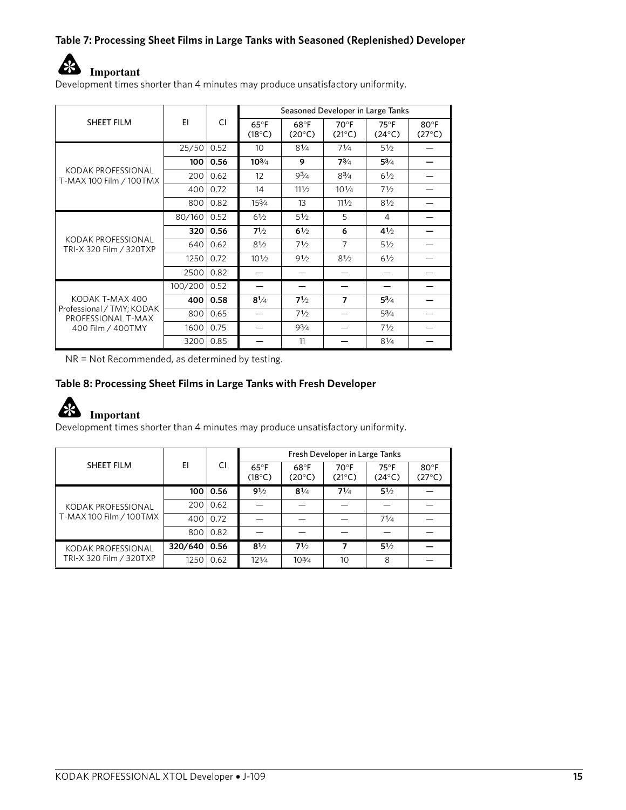#### **Table 7: Processing Sheet Films in Large Tanks with Seasoned (Replenished) Developer**



Development times shorter than 4 minutes may produce unsatisfactory uniformity.

|                                                 |         |      |                                   | Seasoned Developer in Large Tanks |                                   |                                 |                         |
|-------------------------------------------------|---------|------|-----------------------------------|-----------------------------------|-----------------------------------|---------------------------------|-------------------------|
| SHEET FILM                                      | EI      | СI   | $65^{\circ}$ F<br>$(18^{\circ}C)$ | 68°F<br>$(20^{\circ}C)$           | $70^{\circ}$ F<br>$(21^{\circ}C)$ | $75^\circ F$<br>$(24^{\circ}C)$ | 80°F<br>$(27^{\circ}C)$ |
|                                                 | 25/50   | 0.52 | 10                                | $8\frac{1}{4}$                    | $7\frac{1}{4}$                    | $5\frac{1}{2}$                  |                         |
|                                                 | 100     | 0.56 | $10^{3/4}$                        | 9                                 | 73/4                              | $5^{3}/4$                       |                         |
| KODAK PROFESSIONAL<br>T-MAX 100 Film / 100TMX   | 200     | 0.62 | 12                                | $9^{3}/_{4}$                      | $8^{3}/_{4}$                      | 61/2                            |                         |
|                                                 | 400     | 0.72 | 14                                | $11\frac{1}{2}$                   | $10\frac{1}{4}$                   | $7\frac{1}{2}$                  |                         |
|                                                 | 800     | 0.82 | $15\frac{3}{4}$                   | 13                                | 111/2                             | $8\frac{1}{2}$                  |                         |
|                                                 | 80/160  | 0.52 | 61/2                              | 51/2                              | 5                                 | 4                               |                         |
|                                                 | 320     | 0.56 | 71/2                              | $6\frac{1}{2}$                    | 6                                 | $4^{1/2}$                       |                         |
| KODAK PROFESSIONAL<br>TRI-X 320 Film / 320TXP   | 640     | 0.62 | 81/2                              | 71/2                              | $\overline{7}$                    | 51/2                            |                         |
|                                                 | 1250    | 0.72 | $10^{1/2}$                        | 91/2                              | $8\frac{1}{2}$                    | $6\frac{1}{2}$                  |                         |
|                                                 | 2500    | 0.82 |                                   |                                   |                                   |                                 |                         |
|                                                 | 100/200 | 0.52 |                                   |                                   |                                   |                                 |                         |
| KODAK T-MAX 400                                 | 400     | 0.58 | $8^{1/4}$                         | 71/2                              | 7                                 | $5^{3}/_{4}$                    |                         |
| Professional / TMY; KODAK<br>PROFESSIONAL T-MAX | 800     | 0.65 |                                   | $7\frac{1}{2}$                    |                                   | $5^{3}/4$                       |                         |
| 400 Film / 400TMY                               | 1600    | 0.75 |                                   | 93/4                              |                                   | 71/2                            |                         |
|                                                 | 3200    | 0.85 |                                   | 11                                |                                   | $8^{1/4}$                       |                         |

NR = Not Recommended, as determined by testing.

#### **Table 8: Processing Sheet Films in Large Tanks with Fresh Developer**



#### **Important**

Development times shorter than 4 minutes may produce unsatisfactory uniformity.

|                         |         |                   |                          |                         | Fresh Developer in Large Tanks    |                                 |                                   |
|-------------------------|---------|-------------------|--------------------------|-------------------------|-----------------------------------|---------------------------------|-----------------------------------|
| SHEET FILM              | ΕI      | CI                | $65^{\circ}$ F<br>(18°C) | 68°F<br>$(20^{\circ}C)$ | $70^{\circ}$ F<br>$(21^{\circ}C)$ | $75^\circ F$<br>$(24^{\circ}C)$ | $80^{\circ}$ F<br>$(27^{\circ}C)$ |
|                         | 100     | 0.56              | 91/2                     | $8\frac{1}{4}$          | $7^{1/4}$                         | 51/2                            |                                   |
| KODAK PROFESSIONAL      | 200     | $\mid$ 0.62       |                          |                         |                                   |                                 |                                   |
| T-MAX 100 Film / 100TMX | 400     | $\overline{0.72}$ |                          |                         |                                   | $7^{1/4}$                       |                                   |
|                         | 800     | 0.82              |                          |                         |                                   |                                 |                                   |
| KODAK PROFESSIONAL      | 320/640 | 0.56              | 81/2                     | 71/2                    | 7                                 | $5^{1/2}$                       |                                   |
| TRI-X 320 Film / 320TXP | 1250    | 0.62              | 121/4                    | $10\frac{3}{4}$         | 10                                | 8                               |                                   |